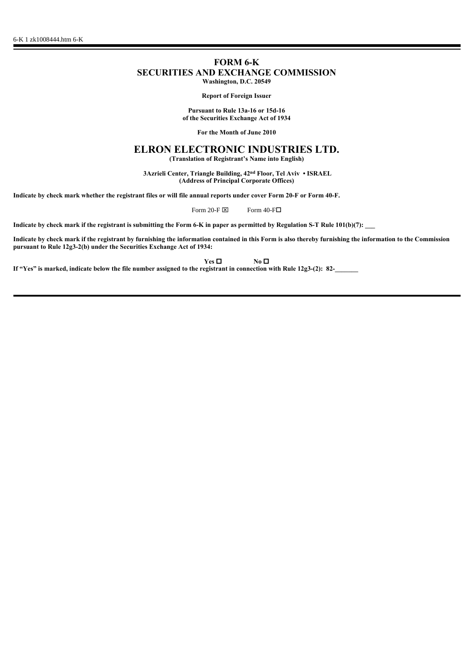# **FORM 6-K SECURITIES AND EXCHANGE COMMISSION Washington, D.C. 20549**

**Report of Foreign Issuer**

**Pursuant to Rule 13a-16 or 15d-16 of the Securities Exchange Act of 1934**

**For the Month of June 2010**

# **ELRON ELECTRONIC INDUSTRIES LTD.**

**(Translation of Registrant's Name into English)**

 **3Azrieli Center, Triangle Building, 42nd Floor, Tel Aviv • ISRAEL (Address of Principal Corporate Offices)**

**Indicate by check mark whether the registrant files or will file annual reports under cover Form 20-F or Form 40-F.**

Form 20-F  $\boxtimes$  Form 40-F $\square$ 

**Indicate by check mark if the registrant is submitting the Form 6-K in paper as permitted by Regulation S-T Rule 101(b)(7): \_\_\_**

**Indicate by check mark if the registrant by furnishing the information contained in this Form is also thereby furnishing the information to the Commission pursuant to Rule 12g3-2(b) under the Securities Exchange Act of 1934:** 

**Yes □ No □** 

**If "Yes" is marked, indicate below the file number assigned to the registrant in connection with Rule 12g3-(2): 82-\_\_\_\_\_\_\_**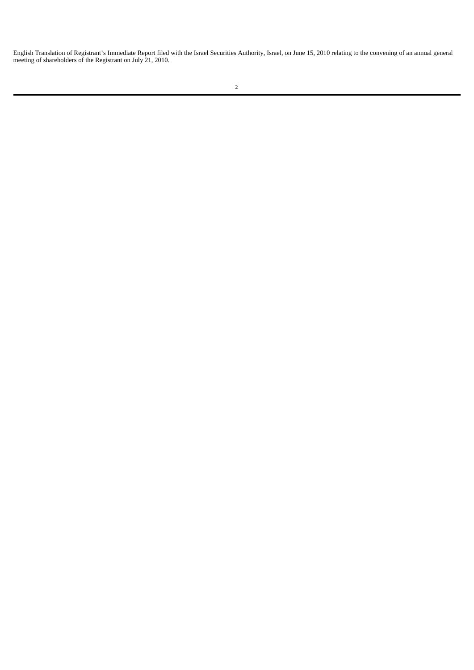English Translation of Registrant's Immediate Report filed with the Israel Securities Authority, Israel, on June 15, 2010 relating to the convening of an annual general meeting of shareholders of the Registrant on July 21, 2010.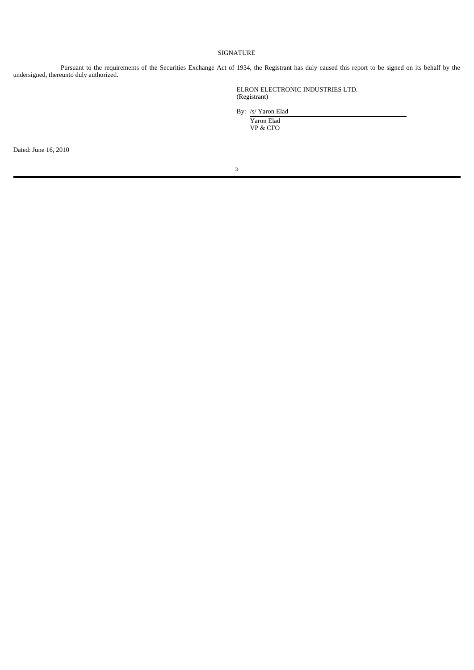# SIGNATURE

Pursuant to the requirements of the Securities Exchange Act of 1934, the Registrant has duly caused this report to be signed on its behalf by the undersigned, thereunto duly authorized.

> ELRON ELECTRONIC INDUSTRIES LTD. (Registrant)

By: /s/ Yaron Elad

Yaron Elad VP & CFO

Dated: June 16, 2010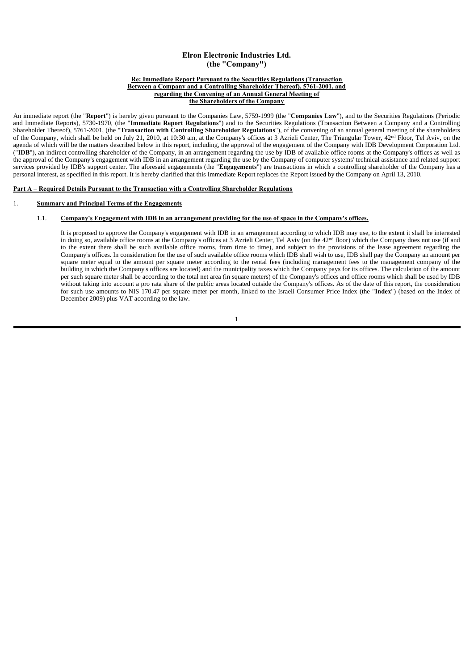# **Elron Electronic Industries Ltd. (the "Company")**

#### **Re: Immediate Report Pursuant to the Securities Regulations (Transaction Between a Company and a Controlling Shareholder Thereof), 5761-2001, and regarding the Convening of an Annual General Meeting of the Shareholders of the Company**

An immediate report (the "**Report**") is hereby given pursuant to the Companies Law, 5759-1999 (the "**Companies Law**"), and to the Securities Regulations (Periodic and Immediate Reports), 5730-1970, (the "**Immediate Report Regulations**") and to the Securities Regulations (Transaction Between a Company and a Controlling Shareholder Thereof), 5761-2001, (the "**Transaction with Controlling Shareholder Regulations**"), of the convening of an annual general meeting of the shareholders of the Company, which shall be held on July 21, 2010, at 10:30 am, at the Company's offices at 3 Azrieli Center, The Triangular Tower, 42nd Floor, Tel Aviv, on the agenda of which will be the matters described below in this report, including, the approval of the engagement of the Company with IDB Development Corporation Ltd. ("**IDB**"), an indirect controlling shareholder of the Company, in an arrangement regarding the use by IDB of available office rooms at the Company's offices as well as the approval of the Company's engagement with IDB in an arrangement regarding the use by the Company of computer systems' technical assistance and related support services provided by IDB's support center. The aforesaid engagements (the "**Engagements**") are transactions in which a controlling shareholder of the Company has a personal interest, as specified in this report. It is hereby clarified that this Immediate Report replaces the Report issued by the Company on April 13, 2010.

#### **Part A – Required Details Pursuant to the Transaction with a Controlling Shareholder Regulations**

### 1. **Summary and Principal Terms of the Engagements**

#### 1.1. **Company's Engagement with IDB in an arrangement providing for the use of space in the Company's offices.**

It is proposed to approve the Company's engagement with IDB in an arrangement according to which IDB may use, to the extent it shall be interested in doing so, available office rooms at the Company's offices at 3 Azrieli Center, Tel Aviv (on the 42<sup>nd</sup> floor) which the Company does not use (if and to the extent there shall be such available office rooms, from time to time), and subject to the provisions of the lease agreement regarding the Company's offices. In consideration for the use of such available office rooms which IDB shall wish to use, IDB shall pay the Company an amount per square meter equal to the amount per square meter according to the rental fees (including management fees to the management company of the building in which the Company's offices are located) and the municipality taxes which the Company pays for its offices. The calculation of the amount per such square meter shall be according to the total net area (in square meters) of the Company's offices and office rooms which shall be used by IDB without taking into account a pro rata share of the public areas located outside the Company's offices. As of the date of this report, the consideration for such use amounts to NIS 170.47 per square meter per month, linked to the Israeli Consumer Price Index (the "**Index**") (based on the Index of December 2009) plus VAT according to the law.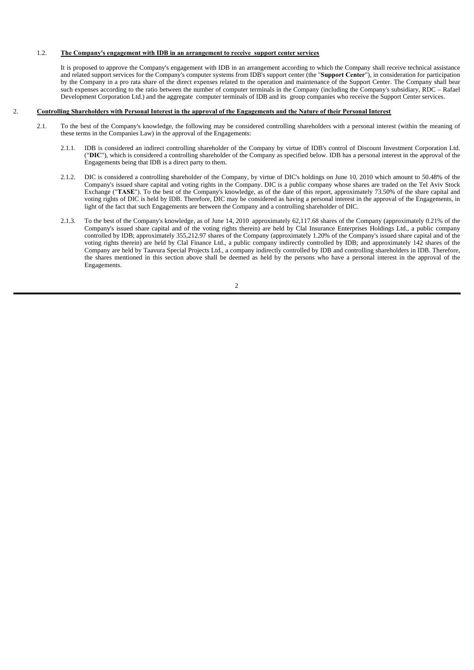# 1.2. **The Company's engagement with IDB in an arrangement to receive support center services**

It is proposed to approve the Company's engagement with IDB in an arrangement according to which the Company shall receive technical assistance and related support services for the Company's computer systems from IDB's support center (the "**Support Center**"), in consideration for participation and related support services for the Company's computer systems from ID by the Company in a pro rata share of the direct expenses related to the operation and maintenance of the Support Center. The Company shall bear such expenses according to the ratio between the number of computer terminals in the Company (including the Company's subsidiary, RDC – Rafael Development Corporation Ltd.) and the aggregate computer terminals of IDB and its group companies who receive the Support Center services.

#### 2. **Controlling Shareholders with Personal Interest in the approval of the Engagements and the Nature of their Personal Interest**

- 2.1. To the best of the Company's knowledge, the following may be considered controlling shareholders with a personal interest (within the meaning of these terms in the Companies Law) in the approval of the Engagements:
	- 2.1.1. IDB is considered an indirect controlling shareholder of the Company by virtue of IDB's control of Discount Investment Corporation Ltd. ("**DIC**"), which is considered a controlling shareholder of the Company as specified below. IDB has a personal interest in the approval of the Engagements being that IDB is a direct party to them.
	- 2.1.2. DIC is considered a controlling shareholder of the Company, by virtue of DIC's holdings on June 10, 2010 which amount to 50.48% of the Company's issued share capital and voting rights in the Company. DIC is a public company whose shares are traded on the Tel Aviv Stock Exchange ("**TASE**"). To the best of the Company's knowledge, as of the date of this report, approximately 73.50% of the share capital and voting rights of DIC is held by IDB. Therefore, DIC may be considered as having a personal interest in the approval of the Engagements, in light of the fact that such Engagements are between the Company and a controlling shareholder of DIC.
	- 2.1.3. To the best of the Company's knowledge, as of June 14, 2010 approximately 62,117.68 shares of the Company (approximately 0.21% of the Company's issued share capital and of the voting rights therein) are held by Clal Insurance Enterprises Holdings Ltd., a public company controlled by IDB; approximately 355,212.97 shares of the Company (approximately 1.20% of the Company's issued share capital and of the voting rights therein) are held by Clal Finance Ltd., a public company indirectly controlled by IDB; and approximately 142 shares of the Company are held by Taavura Special Projects Ltd., a company indirectly controlled by IDB and controlling shareholders in IDB. Therefore, the shares mentioned in this section above shall be deemed as held by the persons who have a personal interest in the approval of the Engagements.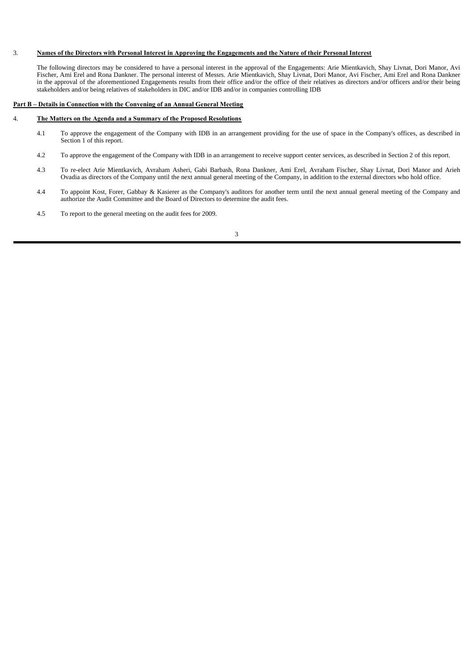# 3. **Names of the Directors with Personal Interest in Approving the Engagements and the Nature of their Personal Interest**

The following directors may be considered to have a personal interest in the approval of the Engagements: Arie Mientkavich, Shay Livnat, Dori Manor, Avi Fischer, Ami Erel and Rona Dankner. The personal interest of Messrs. Arie Mientkavich, Shay Livnat, Dori Manor, Avi Fischer, Ami Erel and Rona Dankner in the approval of the aforementioned Engagements results from their office and/or the office of their relatives as directors and/or officers and/or their being stakeholders and/or being relatives of stakeholders in DIC and/or IDB and/or in companies controlling IDB

### **Part B – Details in Connection with the Convening of an Annual General Meeting**

### 4. **The Matters on the Agenda and a Summary of the Proposed Resolutions**

- 4.1 To approve the engagement of the Company with IDB in an arrangement providing for the use of space in the Company's offices, as described in Section 1 of this report.
- 4.2 To approve the engagement of the Company with IDB in an arrangement to receive support center services, as described in Section 2 of this report.
- 4.3 To re-elect Arie Mientkavich, Avraham Asheri, Gabi Barbash, Rona Dankner, Ami Erel, Avraham Fischer, Shay Livnat, Dori Manor and Arieh Ovadia as directors of the Company until the next annual general meeting of the Company, in addition to the external directors who hold office.
- 4.4 To appoint Kost, Forer, Gabbay & Kasierer as the Company's auditors for another term until the next annual general meeting of the Company and authorize the Audit Committee and the Board of Directors to determine the audit fees.
- 4.5 To report to the general meeting on the audit fees for 2009.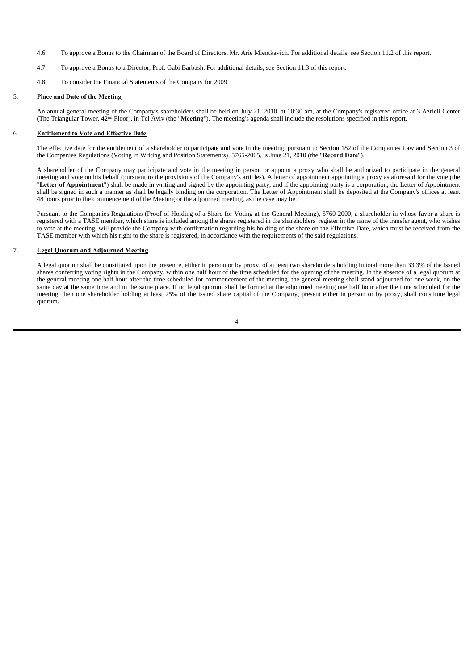- 4.6. To approve a Bonus to the Chairman of the Board of Directors, Mr. Arie Mientkavich. For additional details, see Section 11.2 of this report.
- 4.7. To approve a Bonus to a Director, Prof. Gabi Barbash. For additional details, see Section 11.3 of this report.
- 4.8. To consider the Financial Statements of the Company for 2009.

#### 5. **Place and Date of the Meeting**

An annual general meeting of the Company's shareholders shall be held on July 21, 2010, at 10:30 am, at the Company's registered office at 3 Azrieli Center (The Triangular Tower,  $42^{\text{nd}}$  Floor), in Tel Aviv (the "**Meeting**"). The meeting's agenda shall include the resolutions specified in this report.

#### 6. **Entitlement to Vote and Effective Date**

The effective date for the entitlement of a shareholder to participate and vote in the meeting, pursuant to Section 182 of the Companies Law and Section 3 of the Companies Regulations (Voting in Writing and Position Statements), 5765-2005, is June 21, 2010 (the "**Record Date**").

A shareholder of the Company may participate and vote in the meeting in person or appoint a proxy who shall be authorized to participate in the general meeting and vote on his behalf (pursuant to the provisions of the Company's articles). A letter of appointment appointing a proxy as aforesaid for the vote (the "**Letter of Appointment**") shall be made in writing and signed by the appointing party, and if the appointing party is a corporation, the Letter of Appointment shall be signed in such a manner as shall be legally binding on the corporation. The Letter of Appointment shall be deposited at the Company's offices at least 48 hours prior to the commencement of the Meeting or the adjourned meeting, as the case may be.

Pursuant to the Companies Regulations (Proof of Holding of a Share for Voting at the General Meeting), 5760-2000, a shareholder in whose favor a share is registered with a TASE member, which share is included among the shares registered in the shareholders' register in the name of the transfer agent, who wishes to vote at the meeting, will provide the Company with confirmation regarding his holding of the share on the Effective Date, which must be received from the TASE member with which his right to the share is registered, in accordance with the requirements of the said regulations.

#### 7. **Legal Quorum and Adjourned Meeting**

A legal quorum shall be constituted upon the presence, either in person or by proxy, of at least two shareholders holding in total more than 33.3% of the issued shares conferring voting rights in the Company, within one half hour of the time scheduled for the opening of the meeting. In the absence of a legal quorum at the general meeting one half hour after the time scheduled for commencement of the meeting, the general meeting shall stand adjourned for one week, on the same day at the same time and in the same place. If no legal quorum shall be formed at the adjourned meeting one half hour after the time scheduled for the meeting, then one shareholder holding at least 25% of the issued share capital of the Company, present either in person or by proxy, shall constitute legal quorum.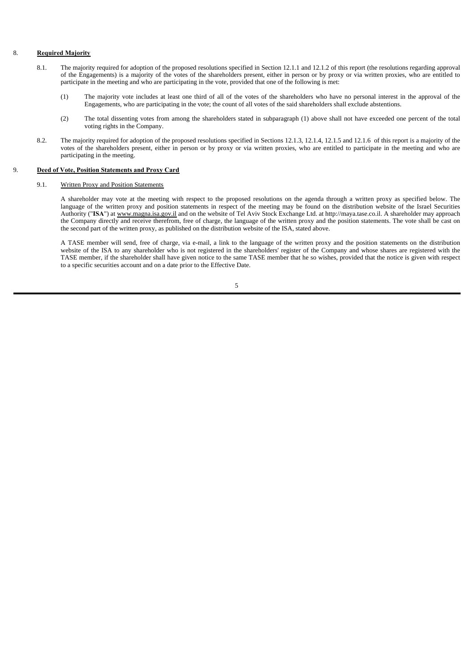#### 8. **Required Majority**

- 8.1. The majority required for adoption of the proposed resolutions specified in Section 12.1.1 and 12.1.2 of this report (the resolutions regarding approval of the Engagements) is a majority of the votes of the shareholders present, either in person or by proxy or via written proxies, who are entitled to participate in the meeting and who are participating in the vote, provided that one of the following is met:
	- (1) The majority vote includes at least one third of all of the votes of the shareholders who have no personal interest in the approval of the Engagements, who are participating in the vote; the count of all votes of the said shareholders shall exclude abstentions.
	- (2) The total dissenting votes from among the shareholders stated in subparagraph (1) above shall not have exceeded one percent of the total voting rights in the Company.
- 8.2. The majority required for adoption of the proposed resolutions specified in Sections 12.1.3, 12.1.4, 12.1.5 and 12.1.6 of this report is a majority of the votes of the shareholders present, either in person or by proxy or via written proxies, who are entitled to participate in the meeting and who are participating in the meeting.

# 9. **Deed of Vote, Position Statements and Proxy Card**

#### 9.1. Written Proxy and Position Statements

A shareholder may vote at the meeting with respect to the proposed resolutions on the agenda through a written proxy as specified below. The language of the written proxy and position statements in respect of the meeting may be found on the distribution website of the Israel Securities Authority ("**ISA**") at www.magna.isa.gov.il and on the website of Tel Aviv Stock Exchange Ltd. at http://maya.tase.co.il. A shareholder may approach the Company directly and receive therefrom, free of charge, the language of the written proxy and the position statements. The vote shall be cast on the second part of the written proxy, as published on the distribution website of the ISA, stated above.

A TASE member will send, free of charge, via e-mail, a link to the language of the written proxy and the position statements on the distribution website of the ISA to any shareholder who is not registered in the shareholders' register of the Company and whose shares are registered with the TASE member, if the shareholder shall have given notice to the same TASE member that he so wishes, provided that the notice is given with respect to a specific securities account and on a date prior to the Effective Date.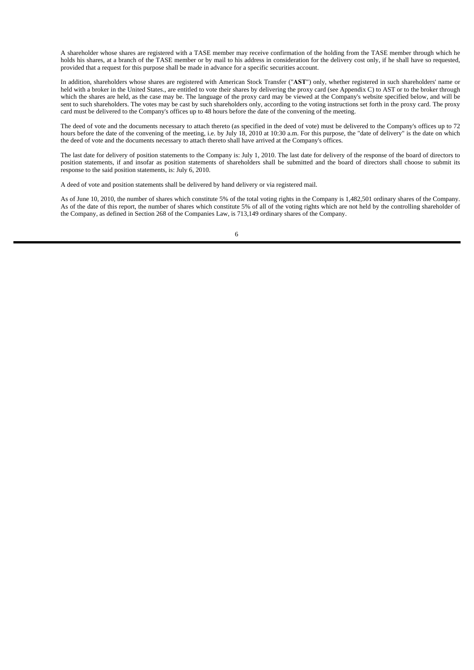A shareholder whose shares are registered with a TASE member may receive confirmation of the holding from the TASE member through which he holds his shares, at a branch of the TASE member or by mail to his address in consideration for the delivery cost only, if he shall have so requested, provided that a request for this purpose shall be made in advance for a specific securities account.

In addition, shareholders whose shares are registered with American Stock Transfer ("**AST**") only, whether registered in such shareholders' name or held with a broker in the United States., are entitled to vote their shares by delivering the proxy card (see Appendix C) to AST or to the broker through which the shares are held, as the case may be. The language of the proxy card may be viewed at the Company's website specified below, and will be sent to such shareholders. The votes may be cast by such shareholders only, according to the voting instructions set forth in the proxy card. The proxy card must be delivered to the Company's offices up to 48 hours before the date of the convening of the meeting.

The deed of vote and the documents necessary to attach thereto (as specified in the deed of vote) must be delivered to the Company's offices up to 72 hours before the date of the convening of the meeting, i.e. by July 18, 2010 at 10:30 a.m. For this purpose, the "date of delivery" is the date on which the deed of vote and the documents necessary to attach thereto shall have arrived at the Company's offices.

The last date for delivery of position statements to the Company is: July 1, 2010. The last date for delivery of the response of the board of directors to position statements, if and insofar as position statements of shareholders shall be submitted and the board of directors shall choose to submit its response to the said position statements, is: July 6, 2010.

A deed of vote and position statements shall be delivered by hand delivery or via registered mail.

As of June 10, 2010, the number of shares which constitute 5% of the total voting rights in the Company is 1,482,501 ordinary shares of the Company. As of the date of this report, the number of shares which constitute 5% of all of the voting rights which are not held by the controlling shareholder of the Company, as defined in Section 268 of the Companies Law, is 713,149 ordinary shares of the Company.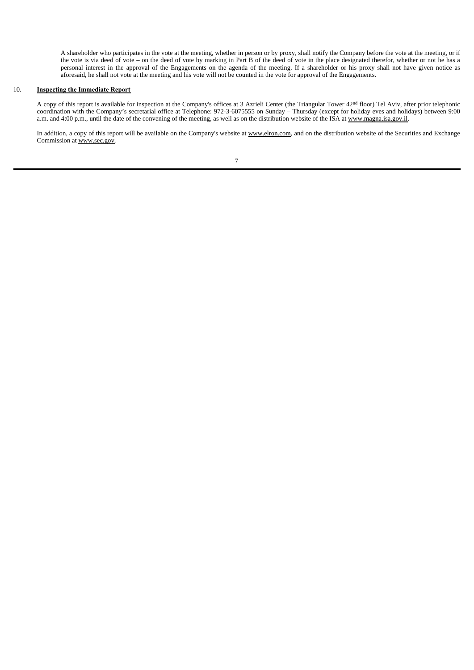A shareholder who participates in the vote at the meeting, whether in person or by proxy, shall notify the Company before the vote at the meeting, or if the vote is via deed of vote – on the deed of vote by marking in Part B of the deed of vote in the place designated therefor, whether or not he has a personal interest in the approval of the Engagements on the agenda of the meeting. If a shareholder or his proxy shall not have given notice as aforesaid, he shall not vote at the meeting and his vote will not be counted in the vote for approval of the Engagements.

# 10. **Inspecting the Immediate Report**

A copy of this report is available for inspection at the Company's offices at 3 Azrieli Center (the Triangular Tower 42nd floor) Tel Aviv, after prior telephonic coordination with the Company's secretarial office at Telephone: 972-3-6075555 on Sunday – Thursday (except for holiday eves and holidays) between 9:00 a.m. and 4:00 p.m., until the date of the convening of the meeting, as well as on the distribution website of the ISA at www.magna.isa.gov.il.

In addition, a copy of this report will be available on the Company's website at www.elron.com, and on the distribution website of the Securities and Exchange Commission at www.sec.gov.

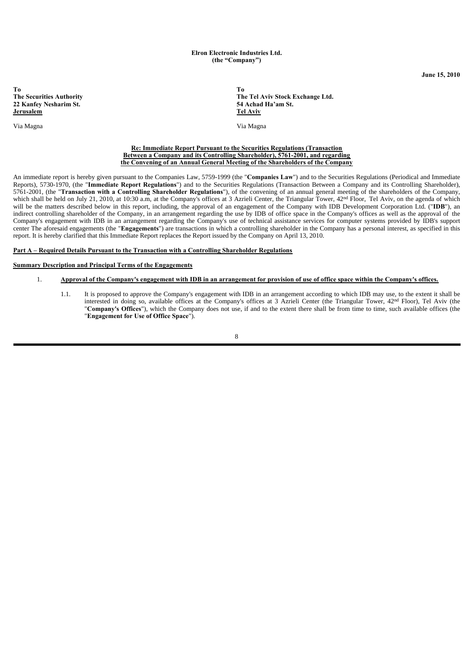### **Elron Electronic Industries Ltd. (the "Company")**

**To To 22 Kanfey Nesharim St.** 54 Achad Jerusalem **51 Achad Haw St.** 54 Achad Harves 1988  $Jerusalem$ 

**The Securities Authority The Tel Aviv Stock Exchange Ltd.**

Via Magna Via Magna

#### **Re: Immediate Report Pursuant to the Securities Regulations (Transaction Between a Company and its Controlling Shareholder), 5761-2001, and regarding the Convening of an Annual General Meeting of the Shareholders of the Company**

An immediate report is hereby given pursuant to the Companies Law, 5759-1999 (the "**Companies Law**") and to the Securities Regulations (Periodical and Immediate Reports), 5730-1970, (the "**Immediate Report Regulations**") and to the Securities Regulations (Transaction Between a Company and its Controlling Shareholder), 5761-2001, (the "**Transaction with a Controlling Shareholder Regulations**"), of the convening of an annual general meeting of the shareholders of the Company, which shall be held on July 21, 2010, at 10:30 a.m. at the Company's offices at 3 Azrieli Center, the Triangular Tower, 42<sup>nd</sup> Floor, Tel Aviv, on the agenda of which will be the matters described below in this report, including, the approval of an engagement of the Company with IDB Development Corporation Ltd. ("IDB"), an indirect controlling shareholder of the Company, in an arrangement regarding the use by IDB of office space in the Company's offices as well as the approval of the Company's engagement with IDB in an arrangement regarding the Company's use of technical assistance services for computer systems provided by IDB's support center The aforesaid engagements (the "**Engagements**") are transactions in which a controlling shareholder in the Company has a personal interest, as specified in this report. It is hereby clarified that this Immediate Report replaces the Report issued by the Company on April 13, 2010.

#### **Part A – Required Details Pursuant to the Transaction with a Controlling Shareholder Regulations**

#### **Summary Description and Principal Terms of the Engagements**

# 1. **Approval of the Company's engagement with IDB in an arrangement for provision of use of office space within the Company's offices.**

 1.1. It is proposed to approve the Company's engagement with IDB in an arrangement according to which IDB may use, to the extent it shall be interested in doing so, available offices at the Company's offices at 3 Azrieli Center (the Triangular Tower, 42nd Floor), Tel Aviv (the "**Company's Offices**"), which the Company does not use, if and to the extent there shall be from time to time, such available offices (the "**Engagement for Use of Office Space**").

8

**June 15, 2010**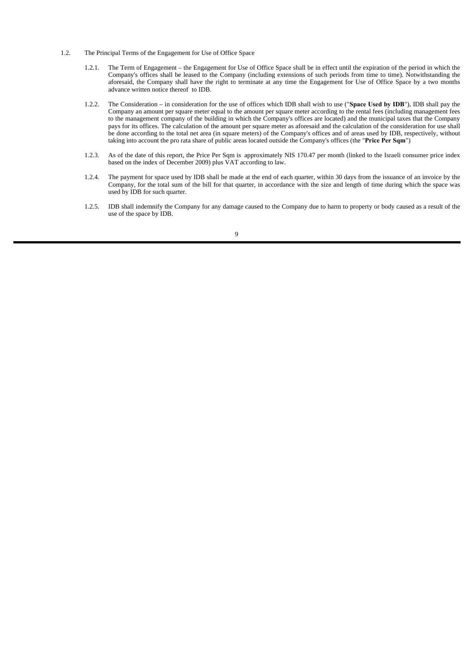- 1.2. The Principal Terms of the Engagement for Use of Office Space
	- 1.2.1. The Term of Engagement the Engagement for Use of Office Space shall be in effect until the expiration of the period in which the Company's offices shall be leased to the Company (including extensions of such periods from time to time). Notwithstanding the aforesaid, the Company shall have the right to terminate at any time the Engagement for Use of Office Space by a two months advance written notice thereof to IDB.
	- 1.2.2. The Consideration in consideration for the use of offices which IDB shall wish to use ("**Space Used by IDB**"), IDB shall pay the Company an amount per square meter equal to the amount per square meter according to the rental fees (including management fees to the management company of the building in which the Company's offices are located) and the municipal taxes that the Company pays for its offices. The calculation of the amount per square meter as aforesaid and the calculation of the consideration for use shall be done according to the total net area (in square meters) of the Company's offices and of areas used by IDB, respectively, without taking into account the pro rata share of public areas located outside the Company's offices (the "**Price Per Sqm**")
	- 1.2.3. As of the date of this report, the Price Per Sqm is approximately NIS 170.47 per month (linked to the Israeli consumer price index based on the index of December 2009) plus VAT according to law.
	- 1.2.4. The payment for space used by IDB shall be made at the end of each quarter, within 30 days from the issuance of an invoice by the Company, for the total sum of the bill for that quarter, in accordance with the size and length of time during which the space was used by IDB for such quarter.
	- 1.2.5. IDB shall indemnify the Company for any damage caused to the Company due to harm to property or body caused as a result of the use of the space by IDB.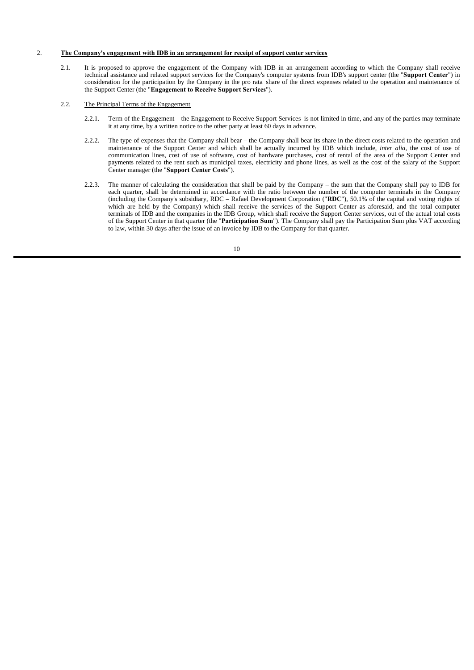# 2. **The Company's engagement with IDB in an arrangement for receipt of support center services**

 2.1. It is proposed to approve the engagement of the Company with IDB in an arrangement according to which the Company shall receive technical assistance and related support services for the Company's computer systems from IDB's support center (the "**Support Center**") in consideration for the participation by the Company in the pro rata share of the direct expenses related to the operation and maintenance of the Support Center (the "**Engagement to Receive Support Services**").

# 2.2. The Principal Terms of the Engagement

- 2.2.1. Term of the Engagement the Engagement to Receive Support Services is not limited in time, and any of the parties may terminate it at any time, by a written notice to the other party at least 60 days in advance.
- 2.2.2. The type of expenses that the Company shall bear the Company shall bear its share in the direct costs related to the operation and maintenance of the Support Center and which shall be actually incurred by IDB which include, *inter alia*, the cost of use of communication lines, cost of use of software, cost of hardware purchases, cost of rental of the area of the Support Center and payments related to the rent such as municipal taxes, electricity and phone lines, as well as the cost of the salary of the Support Center manager (the "**Support Center Costs**").
- 2.2.3. The manner of calculating the consideration that shall be paid by the Company the sum that the Company shall pay to IDB for each quarter, shall be determined in accordance with the ratio between the number of the computer terminals in the Company (including the Company's subsidiary, RDC – Rafael Development Corporation ("**RDC**"), 50.1% of the capital and voting rights of which are held by the Company) which shall receive the services of the Support Center as aforesaid, and the total computer terminals of IDB and the companies in the IDB Group, which shall receive the Support Center services, out of the actual total costs of the Support Center in that quarter (the "**Participation Sum**"). The Company shall pay the Participation Sum plus VAT according to law, within 30 days after the issue of an invoice by IDB to the Company for that quarter.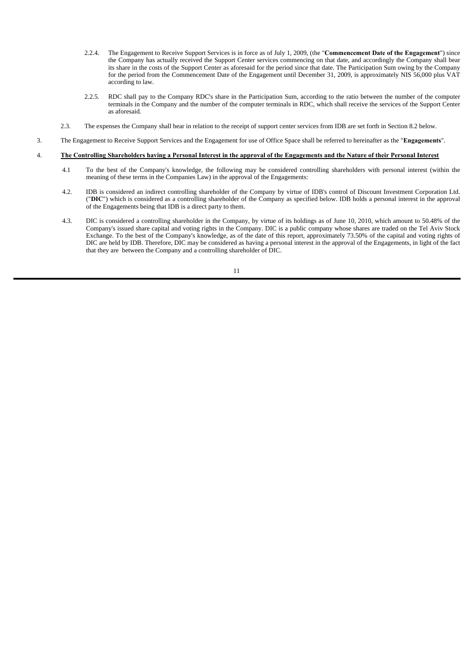- 2.2.4. The Engagement to Receive Support Services is in force as of July 1, 2009, (the "**Commencement Date of the Engagement**") since the Company has actually received the Support Center services commencing on that date, and accordingly the Company shall bear its share in the costs of the Support Center as aforesaid for the period since that date. The Participation Sum owing by the Company for the period from the Commencement Date of the Engagement until December 31, 2009, is approximately NIS 56,000 plus VAT according to law.
- 2.2.5. RDC shall pay to the Company RDC's share in the Participation Sum, according to the ratio between the number of the computer terminals in the Company and the number of the computer terminals in RDC, which shall receive the services of the Support Center as aforesaid.
- 2.3. The expenses the Company shall bear in relation to the receipt of support center services from IDB are set forth in Section 8.2 below.
- 3. The Engagement to Receive Support Services and the Engagement for use of Office Space shall be referred to hereinafter as the "**Engagements**".

#### 4. **The Controlling Shareholders having a Personal Interest in the approval of the Engagements and the Nature of their Personal Interest**

- 4.1 To the best of the Company's knowledge, the following may be considered controlling shareholders with personal interest (within the meaning of these terms in the Companies Law) in the approval of the Engagements:
- 4.2. IDB is considered an indirect controlling shareholder of the Company by virtue of IDB's control of Discount Investment Corporation Ltd. ("**DIC**") which is considered as a controlling shareholder of the Company as specified below. IDB holds a personal interest in the approval of the Engagements being that IDB is a direct party to them.
- 4.3. DIC is considered a controlling shareholder in the Company, by virtue of its holdings as of June 10, 2010, which amount to 50.48% of the Company's issued share capital and voting rights in the Company. DIC is a public company whose shares are traded on the Tel Aviv Stock Exchange. To the best of the Company's knowledge, as of the date of this report, approximately 73.50% of the capital and voting rights of DIC are held by IDB. Therefore, DIC may be considered as having a personal interest in the approval of the Engagements, in light of the fact that they are between the Company and a controlling shareholder of DIC.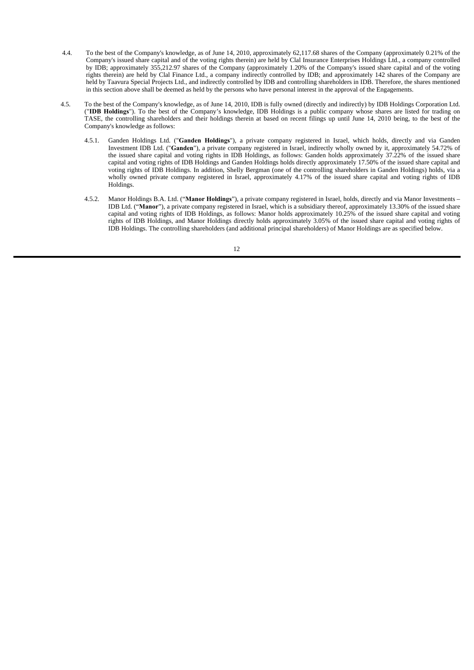- 4.4. To the best of the Company's knowledge, as of June 14, 2010, approximately 62,117.68 shares of the Company (approximately 0.21% of the Company's issued share capital and of the voting rights therein) are held by Clal Insurance Enterprises Holdings Ltd., a company controlled by IDB; approximately 355,212.97 shares of the Company (approximately 1.20% of the Company's issued share capital and of the voting rights therein) are held by Clal Finance Ltd., a company indirectly controlled by IDB; and approximately 142 shares of the Company are held by Taavura Special Projects Ltd., and indirectly controlled by IDB and controlling shareholders in IDB. Therefore, the shares mentioned in this section above shall be deemed as held by the persons who have personal interest in the approval of the Engagements.
- 4.5. To the best of the Company's knowledge, as of June 14, 2010, IDB is fully owned (directly and indirectly) by IDB Holdings Corporation Ltd. ("**IDB Holdings**"). To the best of the Company's knowledge, IDB Holdings is a public company whose shares are listed for trading on TASE, the controlling shareholders and their holdings therein at based on recent filings up until June 14, 2010 being, to the best of the Company's knowledge as follows:
	- 4.5.1. Ganden Holdings Ltd. ("**Ganden Holdings**"), a private company registered in Israel, which holds, directly and via Ganden Investment IDB Ltd. ("**Ganden**"), a private company registered in Israel, indirectly wholly owned by it, approximately 54.72% of the issued share capital and voting rights in IDB Holdings, as follows: Ganden holds approximately 37.22% of the issued share capital and voting rights of IDB Holdings and Ganden Holdings holds directly approximately 17.50% of the issued share capital and voting rights of IDB Holdings. In addition, Shelly Bergman (one of the controlling shareholders in Ganden Holdings) holds, via a wholly owned private company registered in Israel, approximately 4.17% of the issued share capital and voting rights of IDB Holdings.
	- 4.5.2. Manor Holdings B.A. Ltd. ("**Manor Holdings**"), a private company registered in Israel, holds, directly and via Manor Investments IDB Ltd. ("**Manor**"), a private company registered in Israel, which is a subsidiary thereof, approximately 13.30% of the issued share capital and voting rights of IDB Holdings, as follows: Manor holds approximately 10.25% of the issued share capital and voting rights of IDB Holdings, and Manor Holdings directly holds approximately 3.05% of the issued share capital and voting rights of IDB Holdings. The controlling shareholders (and additional principal shareholders) of Manor Holdings are as specified below.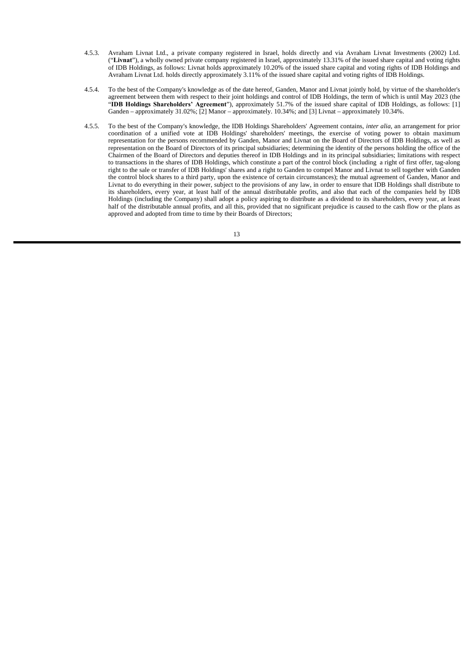- 4.5.3. Avraham Livnat Ltd., a private company registered in Israel, holds directly and via Avraham Livnat Investments (2002) Ltd. ("**Livnat**"), a wholly owned private company registered in Israel, approximately 13.31% of the issued share capital and voting rights of IDB Holdings, as follows: Livnat holds approximately 10.20% of the issued share capital and voting rights of IDB Holdings and Avraham Livnat Ltd. holds directly approximately 3.11% of the issued share capital and voting rights of IDB Holdings.
- 4.5.4. To the best of the Company's knowledge as of the date hereof, Ganden, Manor and Livnat jointly hold, by virtue of the shareholder's agreement between them with respect to their joint holdings and control of IDB Holdings, the term of which is until May 2023 (the "**IDB Holdings Shareholders' Agreement**"), approximately 51.7% of the issued share capital of IDB Holdings, as follows: [1] Ganden – approximately 31.02%; [2] Manor – approximately. 10.34%; and [3] Livnat – approximately 10.34%.
- 4.5.5. To the best of the Company's knowledge, the IDB Holdings Shareholders' Agreement contains, *inter alia*, an arrangement for prior coordination of a unified vote at IDB Holdings' shareholders' meetings, the exercise of voting power to obtain maximum representation for the persons recommended by Ganden, Manor and Livnat on the Board of Directors of IDB Holdings, as well as representation on the Board of Directors of its principal subsidiaries; determining the identity of the persons holding the office of the Chairmen of the Board of Directors and deputies thereof in IDB Holdings and in its principal subsidiaries; limitations with respect to transactions in the shares of IDB Holdings, which constitute a part of the control block (including a right of first offer, tag-along right to the sale or transfer of IDB Holdings' shares and a right to Ganden to compel Manor and Livnat to sell together with Ganden the control block shares to a third party, upon the existence of certain circumstances); the mutual agreement of Ganden, Manor and Livnat to do everything in their power, subject to the provisions of any law, in order to ensure that IDB Holdings shall distribute to its shareholders, every year, at least half of the annual distributable profits, and also that each of the companies held by IDB Holdings (including the Company) shall adopt a policy aspiring to distribute as a dividend to its shareholders, every year, at least half of the distributable annual profits, and all this, provided that no significant prejudice is caused to the cash flow or the plans as approved and adopted from time to time by their Boards of Directors;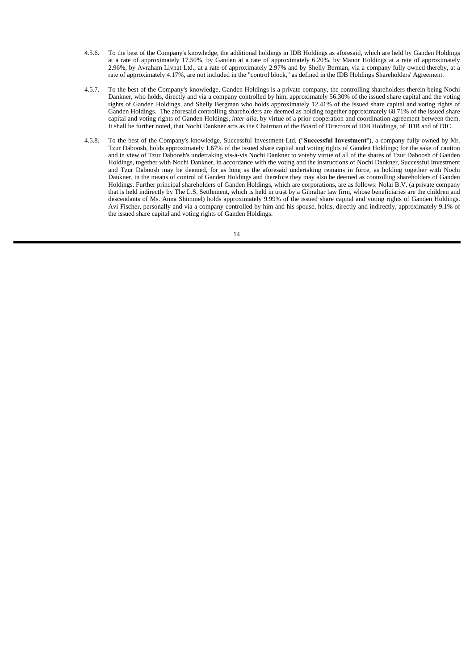- 4.5.6. To the best of the Company's knowledge, the additional holdings in IDB Holdings as aforesaid, which are held by Ganden Holdings at a rate of approximately 17.50%, by Ganden at a rate of approximately 6.20%, by Manor Holdings at a rate of approximately 2.96%, by Avraham Livnat Ltd., at a rate of approximately 2.97% and by Shelly Berman, via a company fully owned thereby, at a rate of approximately 4.17%, are not included in the "control block," as defined in the IDB Holdings Shareholders' Agreement.
- 4.5.7. To the best of the Company's knowledge, Ganden Holdings is a private company, the controlling shareholders therein being Nochi Dankner, who holds, directly and via a company controlled by him, approximately 56.30% of the issued share capital and the voting rights of Ganden Holdings, and Shelly Bergman who holds approximately 12.41% of the issued share capital and voting rights of Ganden Holdings. The aforesaid controlling shareholders are deemed as holding together approximately 68.71% of the issued share capital and voting rights of Ganden Holdings, *inter alia*, by virtue of a prior cooperation and coordination agreement between them. It shall be further noted, that Nochi Dankner acts as the Chairman of the Board of Directors of IDB Holdings, of IDB and of DIC.
- 4.5.8. To the best of the Company's knowledge, Successful Investment Ltd. ("**Successful Investment**"), a company fully-owned by Mr. Tzur Daboosh, holds approximately 1.67% of the issued share capital and voting rights of Ganden Holdings; for the sake of caution and in view of Tzur Daboosh's undertaking vis-à-vis Nochi Dankner to voteby virtue of all of the shares of Tzur Daboosh of Ganden Holdings, together with Nochi Dankner, in accordance with the voting and the instructions of Nochi Dankner, Successful Investment and Tzur Daboosh may be deemed, for as long as the aforesaid undertaking remains in force, as holding together with Nochi Dankner, in the means of control of Ganden Holdings and therefore they may also be deemed as controlling shareholders of Ganden Holdings. Further principal shareholders of Ganden Holdings, which are corporations, are as follows: Nolai B.V. (a private company that is held indirectly by The L.S. Settlement, which is held in trust by a Gibraltar law firm, whose beneficiaries are the children and descendants of Ms. Anna Shimmel) holds approximately 9.99% of the issued share capital and voting rights of Ganden Holdings. Avi Fischer, personally and via a company controlled by him and his spouse, holds, directly and indirectly, approximately 9.1% of the issued share capital and voting rights of Ganden Holdings.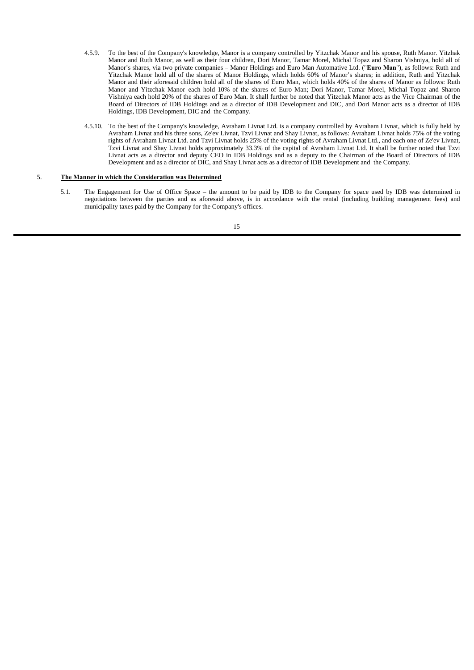- 4.5.9. To the best of the Company's knowledge, Manor is a company controlled by Yitzchak Manor and his spouse, Ruth Manor. Yitzhak Manor and Ruth Manor, as well as their four children, Dori Manor, Tamar Morel, Michal Topaz and Sharon Vishniya, hold all of Manor's shares, via two private companies – Manor Holdings and Euro Man Automative Ltd. ("**Euro Man**"), as follows: Ruth and Yitzchak Manor hold all of the shares of Manor Holdings, which holds 60% of Manor's shares; in addition, Ruth and Yitzchak Manor and their aforesaid children hold all of the shares of Euro Man, which holds 40% of the shares of Manor as follows: Ruth Manor and Yitzchak Manor each hold 10% of the shares of Euro Man; Dori Manor, Tamar Morel, Michal Topaz and Sharon Vishniya each hold 20% of the shares of Euro Man. It shall further be noted that Yitzchak Manor acts as the Vice Chairman of the Board of Directors of IDB Holdings and as a director of IDB Development and DIC, and Dori Manor acts as a director of IDB Holdings, IDB Development, DIC and the Company.
- 4.5.10. To the best of the Company's knowledge, Avraham Livnat Ltd. is a company controlled by Avraham Livnat, which is fully held by Avraham Livnat and his three sons, Ze'ev Livnat, Tzvi Livnat and Shay Livnat, as follows: Avraham Livnat holds 75% of the voting rights of Avraham Livnat Ltd. and Tzvi Livnat holds 25% of the voting rights of Avraham Livnat Ltd., and each one of Ze'ev Livnat, Tzvi Livnat and Shay Livnat holds approximately 33.3% of the capital of Avraham Livnat Ltd. It shall be further noted that Tzvi Livnat acts as a director and deputy CEO in IDB Holdings and as a deputy to the Chairman of the Board of Directors of IDB Development and as a director of DIC, and Shay Livnat acts as a director of IDB Development and the Company.

# 5. **The Manner in which the Consideration was Determined**

 5.1. The Engagement for Use of Office Space – the amount to be paid by IDB to the Company for space used by IDB was determined in negotiations between the parties and as aforesaid above, is in accordance with the rental (including building management fees) and municipality taxes paid by the Company for the Company's offices.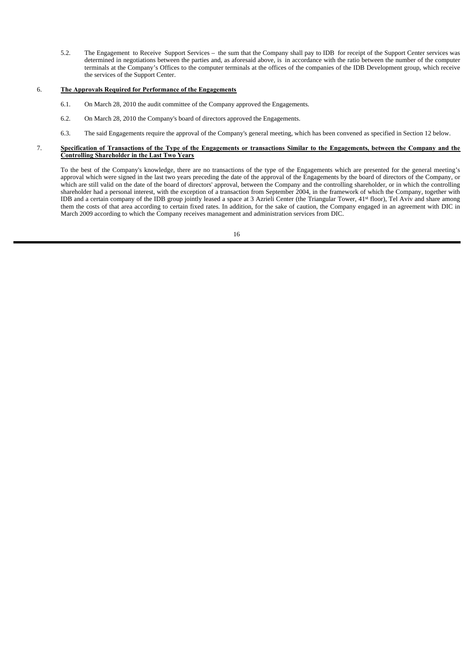5.2. The Engagement to Receive Support Services – the sum that the Company shall pay to IDB for receipt of the Support Center services was determined in negotiations between the parties and, as aforesaid above, is in accordance with the ratio between the number of the computer terminals at the Company's Offices to the computer terminals at the offices of the companies of the IDB Development group, which receive the services of the Support Center.

#### 6. **The Approvals Required for Performance of the Engagements**

- 6.1. On March 28, 2010 the audit committee of the Company approved the Engagements.
- 6.2. On March 28, 2010 the Company's board of directors approved the Engagements.
- 6.3. The said Engagements require the approval of the Company's general meeting, which has been convened as specified in Section 12 below.

#### 7. **Specification of Transactions of the Type of the Engagements or transactions Similar to the Engagements, between the Company and the Controlling Shareholder in the Last Two Years**

To the best of the Company's knowledge, there are no transactions of the type of the Engagements which are presented for the general meeting's approval which were signed in the last two years preceding the date of the approval of the Engagements by the board of directors of the Company, or which are still valid on the date of the board of directors' approval, between the Company and the controlling shareholder, or in which the controlling shareholder had a personal interest, with the exception of a transaction from September 2004, in the framework of which the Company, together with IDB and a certain company of the IDB group jointly leased a space at 3 Azrieli Center (the Triangular Tower, 41st floor), Tel Aviv and share among them the costs of that area according to certain fixed rates. In addition, for the sake of caution, the Company engaged in an agreement with DIC in March 2009 according to which the Company receives management and administration services from DIC.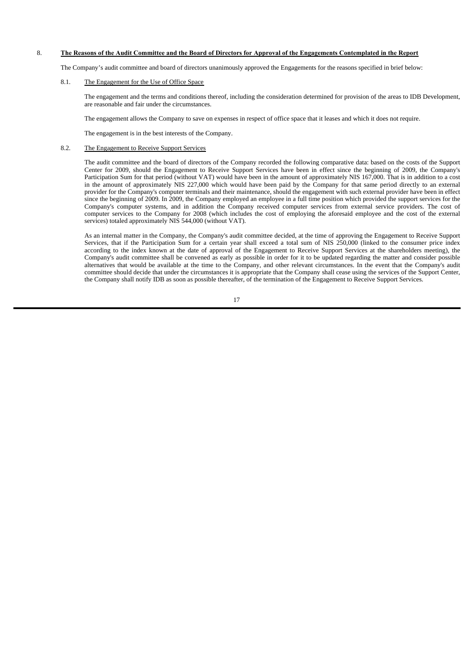#### 8. **The Reasons of the Audit Committee and the Board of Directors for Approval of the Engagements Contemplated in the Report**

The Company's audit committee and board of directors unanimously approved the Engagements for the reasons specified in brief below:

### 8.1. The Engagement for the Use of Office Space

The engagement and the terms and conditions thereof, including the consideration determined for provision of the areas to IDB Development, are reasonable and fair under the circumstances.

The engagement allows the Company to save on expenses in respect of office space that it leases and which it does not require.

The engagement is in the best interests of the Company.

# 8.2. The Engagement to Receive Support Services

The audit committee and the board of directors of the Company recorded the following comparative data: based on the costs of the Support Center for 2009, should the Engagement to Receive Support Services have been in effect since the beginning of 2009, the Company's Participation Sum for that period (without VAT) would have been in the amount of approximately NIS 167,000. That is in addition to a cost in the amount of approximately NIS 227,000 which would have been paid by the Company for that same period directly to an external provider for the Company's computer terminals and their maintenance, should the engagement with such external provider have been in effect since the beginning of 2009. In 2009, the Company employed an employee in a full time position which provided the support services for the Company's computer systems, and in addition the Company received computer services from external service providers. The cost of computer services to the Company for 2008 (which includes the cost of employing the aforesaid employee and the cost of the external services) totaled approximately NIS 544,000 (without VAT).

As an internal matter in the Company, the Company's audit committee decided, at the time of approving the Engagement to Receive Support Services, that if the Participation Sum for a certain year shall exceed a total sum of NIS 250,000 (linked to the consumer price index according to the index known at the date of approval of the Engagement to Receive Support Services at the shareholders meeting), the Company's audit committee shall be convened as early as possible in order for it to be updated regarding the matter and consider possible alternatives that would be available at the time to the Company, and other relevant circumstances. In the event that the Company's audit committee should decide that under the circumstances it is appropriate that the Company shall cease using the services of the Support Center, the Company shall notify IDB as soon as possible thereafter, of the termination of the Engagement to Receive Support Services.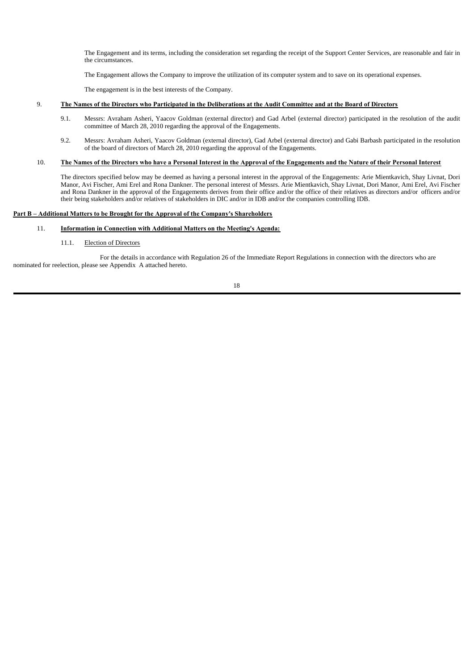The Engagement and its terms, including the consideration set regarding the receipt of the Support Center Services, are reasonable and fair in the circumstances.

The Engagement allows the Company to improve the utilization of its computer system and to save on its operational expenses.

The engagement is in the best interests of the Company.

# 9. **The Names of the Directors who Participated in the Deliberations at the Audit Committee and at the Board of Directors**

- 9.1. Messrs: Avraham Asheri, Yaacov Goldman (external director) and Gad Arbel (external director) participated in the resolution of the audit committee of March 28, 2010 regarding the approval of the Engagements.
- 9.2. Messrs: Avraham Asheri, Yaacov Goldman (external director), Gad Arbel (external director) and Gabi Barbash participated in the resolution of the board of directors of March 28, 2010 regarding the approval of the Engagements.

# 10. **The Names of the Directors who have a Personal Interest in the Approval of the Engagements and the Nature of their Personal Interest**

The directors specified below may be deemed as having a personal interest in the approval of the Engagements: Arie Mientkavich, Shay Livnat, Dori Manor, Avi Fischer, Ami Erel and Rona Dankner. The personal interest of Messrs. Arie Mientkavich, Shay Livnat, Dori Manor, Ami Erel, Avi Fischer and Rona Dankner in the approval of the Engagements derives from their office and/or the office of their relatives as directors and/or officers and/or their being stakeholders and/or relatives of stakeholders in DIC and/or in IDB and/or the companies controlling IDB.

#### **Part B – Additional Matters to be Brought for the Approval of the Company's Shareholders**

#### 11. **Information in Connection with Additional Matters on the Meeting's Agenda:**

#### 11.1. Election of Directors

 For the details in accordance with Regulation 26 of the Immediate Report Regulations in connection with the directors who are nominated for reelection, please see Appendix A attached hereto.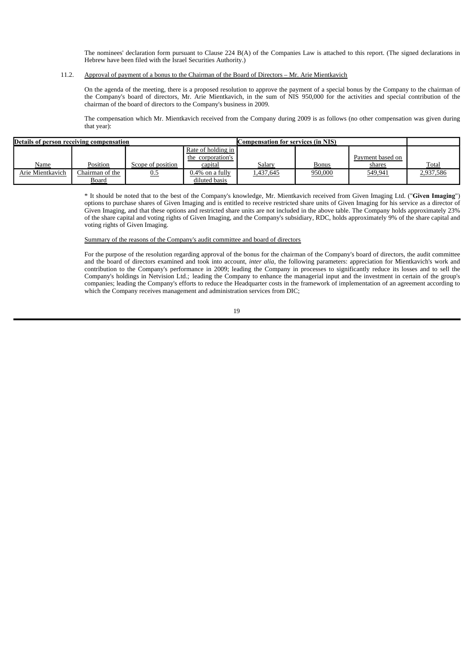The nominees' declaration form pursuant to Clause 224 B(A) of the Companies Law is attached to this report. (The signed declarations in Hebrew have been filed with the Israel Securities Authority.)

# 11.2. Approval of payment of a bonus to the Chairman of the Board of Directors – Mr. Arie Mientkavich

On the agenda of the meeting, there is a proposed resolution to approve the payment of a special bonus by the Company to the chairman of the Company's board of directors, Mr. Arie Mientkavich, in the sum of NIS 950,000 for the activities and special contribution of the chairman of the board of directors to the Company's business in 2009.

The compensation which Mr. Mientkavich received from the Company during 2009 is as follows (no other compensation was given during that year):

| Details of person receiving compensation |                 |                   |                    | <b>Compensation for services (in NIS)</b> |         |                  |              |
|------------------------------------------|-----------------|-------------------|--------------------|-------------------------------------------|---------|------------------|--------------|
|                                          |                 |                   | Rate of holding in |                                           |         |                  |              |
|                                          |                 |                   | the corporation's  |                                           |         | Payment based on |              |
| Name                                     | Position        | Scope of position | capital            | Salary                                    | Bonus   | shares           | <b>Total</b> |
| Arie Mientkavich                         | Chairman of the | <u>u.s</u>        | $0.4\%$ on a fully | ,437,645                                  | 950,000 | 549,941          | 2,937,586    |
|                                          | Board           |                   | diluted basis      |                                           |         |                  |              |

\* It should be noted that to the best of the Company's knowledge, Mr. Mientkavich received from Given Imaging Ltd. ("**Given Imaging**") options to purchase shares of Given Imaging and is entitled to receive restricted share units of Given Imaging for his service as a director of Given Imaging, and that these options and restricted share units are not included in the above table. The Company holds approximately 23% of the share capital and voting rights of Given Imaging, and the Company's subsidiary, RDC, holds approximately 9% of the share capital and voting rights of Given Imaging.

#### Summary of the reasons of the Company's audit committee and board of directors

For the purpose of the resolution regarding approval of the bonus for the chairman of the Company's board of directors, the audit committee and the board of directors examined and took into account, *inter alia*, the following parameters: appreciation for Mientkavich's work and contribution to the Company's performance in 2009; leading the Company in processes to significantly reduce its losses and to sell the Company's holdings in Netvision Ltd.; leading the Company to enhance the managerial input and the investment in certain of the group's companies; leading the Company's efforts to reduce the Headquarter costs in the framework of implementation of an agreement according to which the Company receives management and administration services from DIC;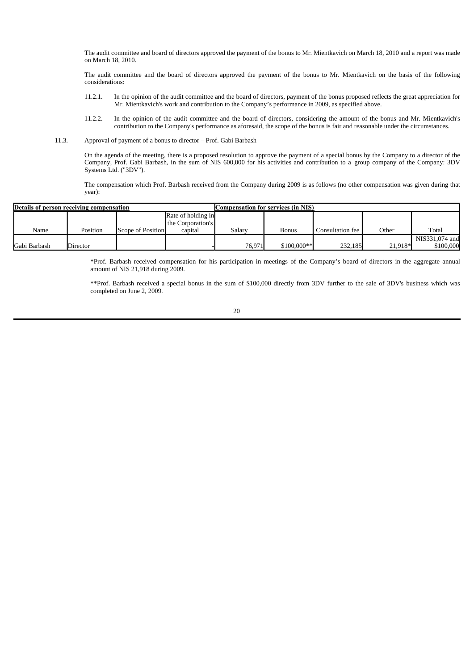The audit committee and board of directors approved the payment of the bonus to Mr. Mientkavich on March 18, 2010 and a report was made on March 18, 2010.

The audit committee and the board of directors approved the payment of the bonus to Mr. Mientkavich on the basis of the following considerations:

- 11.2.1. In the opinion of the audit committee and the board of directors, payment of the bonus proposed reflects the great appreciation for Mr. Mientkavich's work and contribution to the Company's performance in 2009, as specified above.
- 11.2.2. In the opinion of the audit committee and the board of directors, considering the amount of the bonus and Mr. Mientkavich's contribution to the Company's performance as aforesaid, the scope of the bonus is fair and reasonable under the circumstances.
- 11.3. Approval of payment of a bonus to director Prof. Gabi Barbash

On the agenda of the meeting, there is a proposed resolution to approve the payment of a special bonus by the Company to a director of the Company, Prof. Gabi Barbash, in the sum of NIS 600,000 for his activities and contribution to a group company of the Company: 3DV Systems Ltd. ("3DV").

The compensation which Prof. Barbash received from the Company during 2009 is as follows (no other compensation was given during that year):

| Details of person receiving compensation |          |                   |                                         | Compensation for services (in NIS) |              |                  |         |                |
|------------------------------------------|----------|-------------------|-----------------------------------------|------------------------------------|--------------|------------------|---------|----------------|
|                                          |          |                   | Rate of holding in<br>the Corporation's |                                    |              |                  |         |                |
| Name                                     | Position | Scope of Position | capital                                 | Salarv                             | Bonus        | Consultation fee | Other   | Total          |
|                                          |          |                   |                                         |                                    |              |                  |         | NIS331.074 and |
| Gabi Barbash                             | Director |                   |                                         | 76.971                             | $$100.000**$ | 232.185          | 21.918* | \$100,000      |

\*Prof. Barbash received compensation for his participation in meetings of the Company's board of directors in the aggregate annual amount of NIS 21,918 during 2009.

\*\*Prof. Barbash received a special bonus in the sum of \$100,000 directly from 3DV further to the sale of 3DV's business which was completed on June 2, 2009.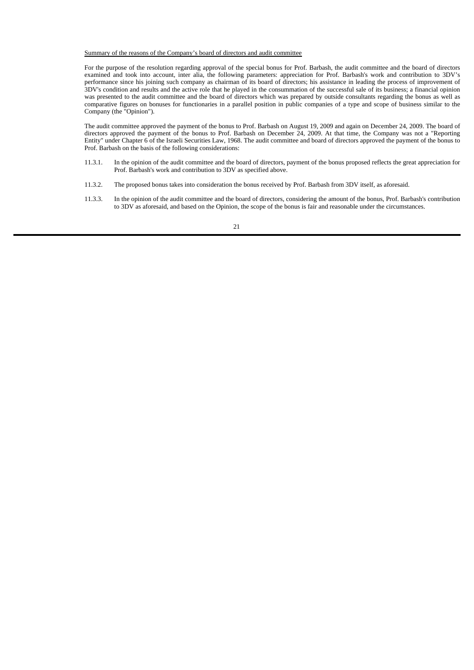## Summary of the reasons of the Company's board of directors and audit committee

For the purpose of the resolution regarding approval of the special bonus for Prof. Barbash, the audit committee and the board of directors examined and took into account, inter alia, the following parameters: appreciation for Prof. Barbash's work and contribution to 3DV's performance since his joining such company as chairman of its board of directors; his assistance in leading the process of improvement of 3DV's condition and results and the active role that he played in the consummation of the successful sale of its business; a financial opinion was presented to the audit committee and the board of directors which was prepared by outside consultants regarding the bonus as well as comparative figures on bonuses for functionaries in a parallel position in public companies of a type and scope of business similar to the Company (the "Opinion").

The audit committee approved the payment of the bonus to Prof. Barbash on August 19, 2009 and again on December 24, 2009. The board of directors approved the payment of the bonus to Prof. Barbash on December 24, 2009. At that time, the Company was not a "Reporting Entity" under Chapter 6 of the Israeli Securities Law, 1968. The audit committee and board of directors approved the payment of the bonus to Prof. Barbash on the basis of the following considerations:

- 11.3.1. In the opinion of the audit committee and the board of directors, payment of the bonus proposed reflects the great appreciation for Prof. Barbash's work and contribution to 3DV as specified above.
- 11.3.2. The proposed bonus takes into consideration the bonus received by Prof. Barbash from 3DV itself, as aforesaid.
- 11.3.3. In the opinion of the audit committee and the board of directors, considering the amount of the bonus, Prof. Barbash's contribution to 3DV as aforesaid, and based on the Opinion, the scope of the bonus is fair and reasonable under the circumstances.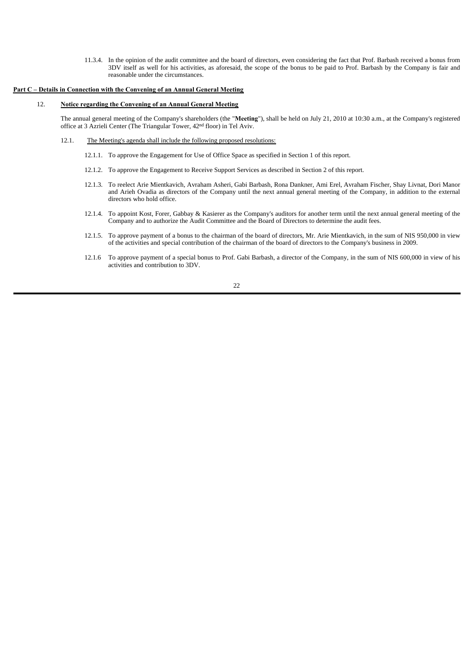11.3.4. In the opinion of the audit committee and the board of directors, even considering the fact that Prof. Barbash received a bonus from 3DV itself as well for his activities, as aforesaid, the scope of the bonus to be paid to Prof. Barbash by the Company is fair and reasonable under the circumstances.

#### **Part C – Details in Connection with the Convening of an Annual General Meeting**

#### 12. **Notice regarding the Convening of an Annual General Meeting**

The annual general meeting of the Company's shareholders (the "**Meeting**"), shall be held on July 21, 2010 at 10:30 a.m., at the Company's registered office at 3 Azrieli Center (The Triangular Tower, 42nd floor) in Tel Aviv.

- 12.1. The Meeting's agenda shall include the following proposed resolutions:
	- 12.1.1. To approve the Engagement for Use of Office Space as specified in Section 1 of this report.
	- 12.1.2. To approve the Engagement to Receive Support Services as described in Section 2 of this report.
	- 12.1.3. To reelect Arie Mientkavich, Avraham Asheri, Gabi Barbash, Rona Dankner, Ami Erel, Avraham Fischer, Shay Livnat, Dori Manor and Arieh Ovadia as directors of the Company until the next annual general meeting of the Company, in addition to the external directors who hold office.
	- 12.1.4. To appoint Kost, Forer, Gabbay & Kasierer as the Company's auditors for another term until the next annual general meeting of the Company and to authorize the Audit Committee and the Board of Directors to determine the audit fees.
	- 12.1.5. To approve payment of a bonus to the chairman of the board of directors, Mr. Arie Mientkavich, in the sum of NIS 950,000 in view of the activities and special contribution of the chairman of the board of directors to the Company's business in 2009.
	- 12.1.6 To approve payment of a special bonus to Prof. Gabi Barbash, a director of the Company, in the sum of NIS 600,000 in view of his activities and contribution to 3DV.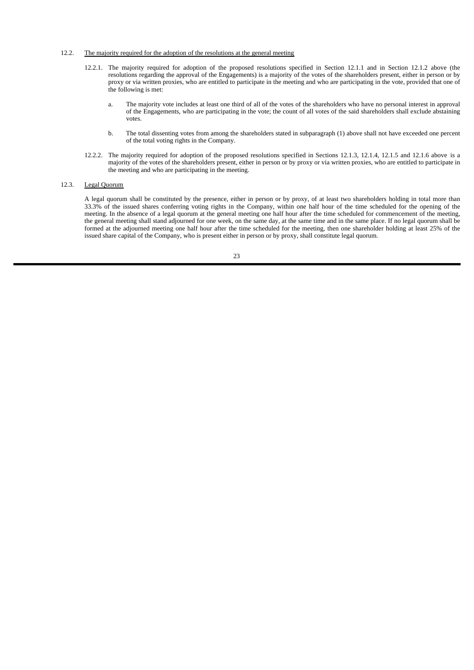- 12.2. The majority required for the adoption of the resolutions at the general meeting
	- 12.2.1. The majority required for adoption of the proposed resolutions specified in Section 12.1.1 and in Section 12.1.2 above (the resolutions regarding the approval of the Engagements) is a majority of the votes of the shareholders present, either in person or by proxy or via written proxies, who are entitled to participate in the meeting and who are participating in the vote, provided that one of the following is met:
		- a. The majority vote includes at least one third of all of the votes of the shareholders who have no personal interest in approval of the Engagements, who are participating in the vote; the count of all votes of the said shareholders shall exclude abstaining votes.
		- b. The total dissenting votes from among the shareholders stated in subparagraph (1) above shall not have exceeded one percent of the total voting rights in the Company.
	- 12.2.2. The majority required for adoption of the proposed resolutions specified in Sections 12.1.3, 12.1.4, 12.1.5 and 12.1.6 above is a majority of the votes of the shareholders present, either in person or by proxy or via written proxies, who are entitled to participate in the meeting and who are participating in the meeting.

#### 12.3. Legal Quorum

A legal quorum shall be constituted by the presence, either in person or by proxy, of at least two shareholders holding in total more than 33.3% of the issued shares conferring voting rights in the Company, within one half hour of the time scheduled for the opening of the meeting. In the absence of a legal quorum at the general meeting one half hour after the time scheduled for commencement of the meeting, the general meeting shall stand adjourned for one week, on the same day, at the same time and in the same place. If no legal quorum shall be formed at the adjourned meeting one half hour after the time scheduled for the meeting, then one shareholder holding at least 25% of the issued share capital of the Company, who is present either in person or by proxy, shall constitute legal quorum.

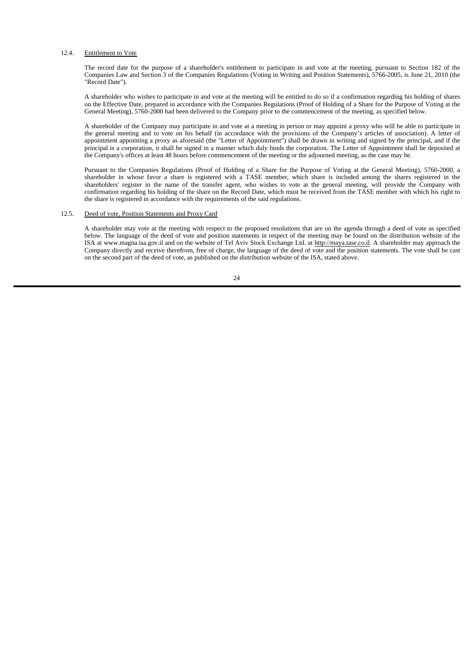#### 12.4. Entitlement to Vote

The record date for the purpose of a shareholder's entitlement to participate in and vote at the meeting, pursuant to Section 182 of the Companies Law and Section 3 of the Companies Regulations (Voting in Writing and Position Statements), 5766-2005, is June 21, 2010 (the "Record Date").

A shareholder who wishes to participate in and vote at the meeting will be entitled to do so if a confirmation regarding his holding of shares on the Effective Date, prepared in accordance with the Companies Regulations (Proof of Holding of a Share for the Purpose of Voting at the General Meeting), 5760-2000 had been delivered to the Company prior to the commencement of the meeting, as specified below.

A shareholder of the Company may participate in and vote at a meeting in person or may appoint a proxy who will be able to participate in the general meeting and to vote on his behalf (in accordance with the provisions of the Company's articles of association). A letter of appointment appointing a proxy as aforesaid (the "Letter of Appointment") shall be drawn in writing and signed by the principal, and if the principal is a corporation, it shall be signed in a manner which duly binds the corporation. The Letter of Appointment shall be deposited at the Company's offices at least 48 hours before commencement of the meeting or the adjourned meeting, as the case may be.

Pursuant to the Companies Regulations (Proof of Holding of a Share for the Purpose of Voting at the General Meeting), 5760-2000, a shareholder in whose favor a share is registered with a TASE member, which share is included among the shares registered in the shareholders' register in the name of the transfer agent, who wishes to vote at the general meeting, will provide the Company with confirmation regarding his holding of the share on the Record Date, which must be received from the TASE member with which his right to the share is registered in accordance with the requirements of the said regulations.

#### 12.5. Deed of vote, Position Statements and Proxy Card

A shareholder may vote at the meeting with respect to the proposed resolutions that are on the agenda through a deed of vote as specified below. The language of the deed of vote and position statements in respect of the meeting may be found on the distribution website of the ISA at www.magna.isa.gov.il and on the website of Tel Aviv Stock Exchange Ltd. at http://maya.tase.co.il. A shareholder may approach the Company directly and receive therefrom, free of charge, the language of the deed of vote and the position statements. The vote shall be cast on the second part of the deed of vote, as published on the distribution website of the ISA, stated above.

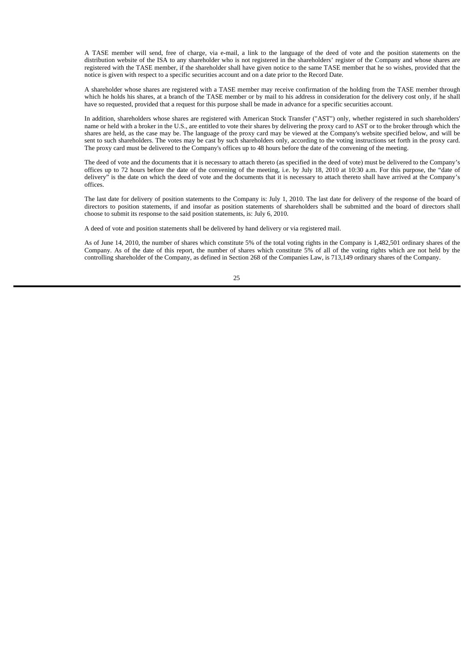A TASE member will send, free of charge, via e-mail, a link to the language of the deed of vote and the position statements on the distribution website of the ISA to any shareholder who is not registered in the shareholders' register of the Company and whose shares are registered with the TASE member, if the shareholder shall have given notice to the same TASE member that he so wishes, provided that the notice is given with respect to a specific securities account and on a date prior to the Record Date.

A shareholder whose shares are registered with a TASE member may receive confirmation of the holding from the TASE member through which he holds his shares, at a branch of the TASE member or by mail to his address in consideration for the delivery cost only, if he shall have so requested, provided that a request for this purpose shall be made in advance for a specific securities account.

In addition, shareholders whose shares are registered with American Stock Transfer ("AST") only, whether registered in such shareholders' name or held with a broker in the U.S., are entitled to vote their shares by delivering the proxy card to AST or to the broker through which the shares are held, as the case may be. The language of the proxy card may be viewed at the Company's website specified below, and will be sent to such shareholders. The votes may be cast by such shareholders only, according to the voting instructions set forth in the proxy card. The proxy card must be delivered to the Company's offices up to 48 hours before the date of the convening of the meeting.

The deed of vote and the documents that it is necessary to attach thereto (as specified in the deed of vote) must be delivered to the Company's offices up to 72 hours before the date of the convening of the meeting, i.e. by July 18, 2010 at 10:30 a.m. For this purpose, the "date of delivery" is the date on which the deed of vote and the documents that it is necessary to attach thereto shall have arrived at the Company's offices.

The last date for delivery of position statements to the Company is: July 1, 2010. The last date for delivery of the response of the board of directors to position statements, if and insofar as position statements of shareholders shall be submitted and the board of directors shall choose to submit its response to the said position statements, is: July 6, 2010.

A deed of vote and position statements shall be delivered by hand delivery or via registered mail.

As of June 14, 2010, the number of shares which constitute 5% of the total voting rights in the Company is 1,482,501 ordinary shares of the Company. As of the date of this report, the number of shares which constitute 5% of all of the voting rights which are not held by the controlling shareholder of the Company, as defined in Section 268 of the Companies Law, is 713,149 ordinary shares of the Company.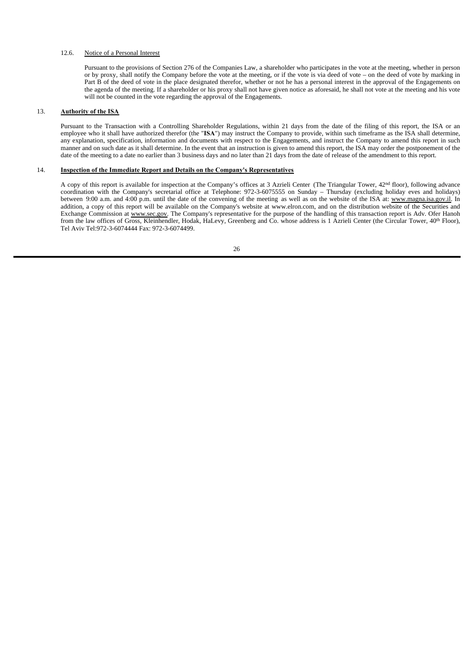#### 12.6. Notice of a Personal Interest

Pursuant to the provisions of Section 276 of the Companies Law, a shareholder who participates in the vote at the meeting, whether in person or by proxy, shall notify the Company before the vote at the meeting, or if the vote is via deed of vote – on the deed of vote by marking in Part B of the deed of vote in the place designated therefor, whether or not he has a personal interest in the approval of the Engagements on the agenda of the meeting. If a shareholder or his proxy shall not have given notice as aforesaid, he shall not vote at the meeting and his vote will not be counted in the vote regarding the approval of the Engagements.

#### 13. **Authority of the ISA**

Pursuant to the Transaction with a Controlling Shareholder Regulations, within 21 days from the date of the filing of this report, the ISA or an employee who it shall have authorized therefor (the "**ISA**") may instruct the Company to provide, within such timeframe as the ISA shall determine, any explanation, specification, information and documents with respect to the Engagements, and instruct the Company to amend this report in such manner and on such date as it shall determine. In the event that an instruction is given to amend this report, the ISA may order the postponement of the date of the meeting to a date no earlier than 3 business days and no later than 21 days from the date of release of the amendment to this report.

# 14. **Inspection of the Immediate Report and Details on the Company's Representatives**

A copy of this report is available for inspection at the Company's offices at 3 Azrieli Center (The Triangular Tower, 42<sup>nd</sup> floor), following advance coordination with the Company's secretarial office at Telephone: 972-3-6075555 on Sunday – Thursday (excluding holiday eves and holidays) between 9:00 a.m. and 4:00 p.m. until the date of the convening of the meeting as well as on the website of the ISA at: www.magna.isa.gov.il. In addition, a copy of this report will be available on the Company's website at www.elron.com, and on the distribution website of the Securities and Exchange Commission at www.sec.gov. The Company's representative for the purpose of the handling of this transaction report is Adv. Ofer Hanoh from the law offices of Gross, Kleinhendler, Hodak, HaLevy, Greenberg and Co. whose address is 1 Azrieli Center (the Circular Tower, 40<sup>th</sup> Floor), Tel Aviv Tel:972-3-6074444 Fax: 972-3-6074499.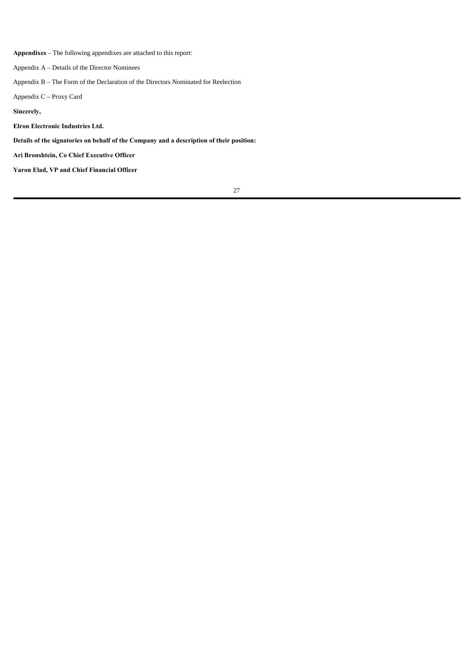**Appendixes** – The following appendixes are attached to this report:

Appendix A – Details of the Director Nominees

Appendix B – The Form of the Declaration of the Directors Nominated for Reelection

Appendix C – Proxy Card

**Sincerely,**

**Elron Electronic Industries Ltd.**

**Details of the signatories on behalf of the Company and a description of their position:**

**Ari Bronshtein, Co Chief Executive Officer**

**Yaron Elad, VP and Chief Financial Officer**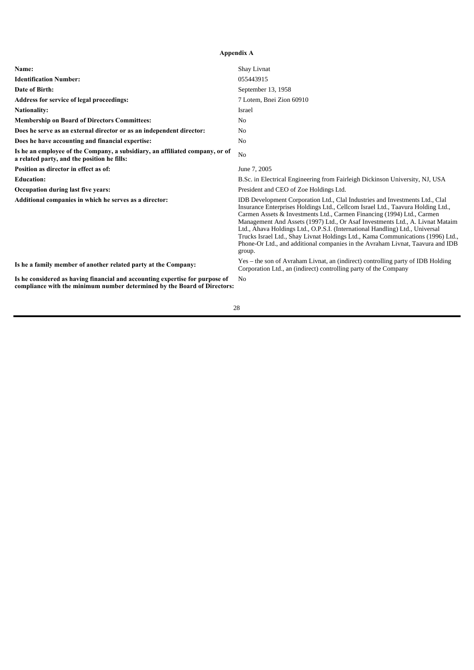# **Appendix A**

| Name:                                                                                                                                                    | Shay Livnat                                                                                                                                                                                                                                                                                                                                                                                                                                                                                                                                                                               |
|----------------------------------------------------------------------------------------------------------------------------------------------------------|-------------------------------------------------------------------------------------------------------------------------------------------------------------------------------------------------------------------------------------------------------------------------------------------------------------------------------------------------------------------------------------------------------------------------------------------------------------------------------------------------------------------------------------------------------------------------------------------|
| <b>Identification Number:</b>                                                                                                                            | 055443915                                                                                                                                                                                                                                                                                                                                                                                                                                                                                                                                                                                 |
| Date of Birth:                                                                                                                                           | September 13, 1958                                                                                                                                                                                                                                                                                                                                                                                                                                                                                                                                                                        |
| Address for service of legal proceedings:                                                                                                                | 7 Lotem, Bnei Zion 60910                                                                                                                                                                                                                                                                                                                                                                                                                                                                                                                                                                  |
| <b>Nationality:</b>                                                                                                                                      | Israel                                                                                                                                                                                                                                                                                                                                                                                                                                                                                                                                                                                    |
| <b>Membership on Board of Directors Committees:</b>                                                                                                      | N <sub>0</sub>                                                                                                                                                                                                                                                                                                                                                                                                                                                                                                                                                                            |
| Does he serve as an external director or as an independent director:                                                                                     | No                                                                                                                                                                                                                                                                                                                                                                                                                                                                                                                                                                                        |
| Does he have accounting and financial expertise:                                                                                                         | N <sub>0</sub>                                                                                                                                                                                                                                                                                                                                                                                                                                                                                                                                                                            |
| Is he an employee of the Company, a subsidiary, an affiliated company, or of<br>a related party, and the position he fills:                              | N <sub>0</sub>                                                                                                                                                                                                                                                                                                                                                                                                                                                                                                                                                                            |
| Position as director in effect as of:                                                                                                                    | June 7, 2005                                                                                                                                                                                                                                                                                                                                                                                                                                                                                                                                                                              |
| <b>Education:</b>                                                                                                                                        | B.Sc. in Electrical Engineering from Fairleigh Dickinson University, NJ, USA                                                                                                                                                                                                                                                                                                                                                                                                                                                                                                              |
| Occupation during last five years:                                                                                                                       | President and CEO of Zoe Holdings Ltd.                                                                                                                                                                                                                                                                                                                                                                                                                                                                                                                                                    |
| Additional companies in which he serves as a director:                                                                                                   | IDB Development Corporation Ltd., Clal Industries and Investments Ltd., Clal<br>Insurance Enterprises Holdings Ltd., Cellcom Israel Ltd., Taavura Holding Ltd.,<br>Carmen Assets & Investments Ltd., Carmen Financing (1994) Ltd., Carmen<br>Management And Assets (1997) Ltd., Or Asaf Investments Ltd., A. Livnat Mataim<br>Ltd., Ahava Holdings Ltd., O.P.S.I. (International Handling) Ltd., Universal<br>Trucks Israel Ltd., Shay Livnat Holdings Ltd., Kama Communications (1996) Ltd.,<br>Phone-Or Ltd., and additional companies in the Avraham Livnat, Taavura and IDB<br>group. |
| Is he a family member of another related party at the Company:                                                                                           | Yes – the son of Avraham Livnat, an (indirect) controlling party of IDB Holding<br>Corporation Ltd., an (indirect) controlling party of the Company                                                                                                                                                                                                                                                                                                                                                                                                                                       |
| Is he considered as having financial and accounting expertise for purpose of<br>compliance with the minimum number determined by the Board of Directors: | N <sub>0</sub>                                                                                                                                                                                                                                                                                                                                                                                                                                                                                                                                                                            |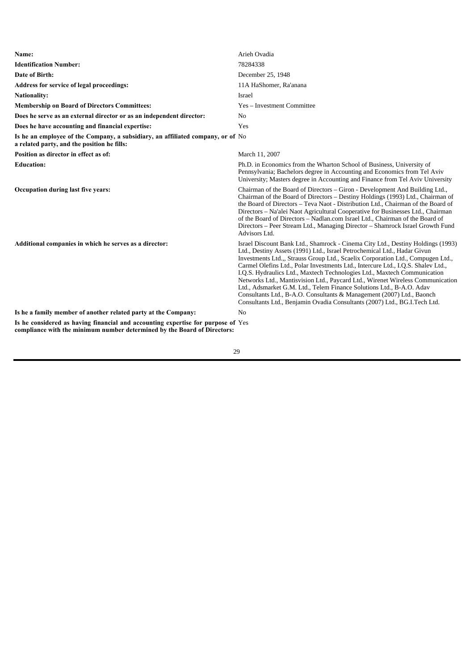| Name:                                                                                                                          | Arieh Ovadia                                                                                                                                                                                                                                                                                                                                                                                                                                                                                                                                                                                                                                                                                                                  |
|--------------------------------------------------------------------------------------------------------------------------------|-------------------------------------------------------------------------------------------------------------------------------------------------------------------------------------------------------------------------------------------------------------------------------------------------------------------------------------------------------------------------------------------------------------------------------------------------------------------------------------------------------------------------------------------------------------------------------------------------------------------------------------------------------------------------------------------------------------------------------|
| <b>Identification Number:</b>                                                                                                  | 78284338                                                                                                                                                                                                                                                                                                                                                                                                                                                                                                                                                                                                                                                                                                                      |
| Date of Birth:                                                                                                                 | December 25, 1948                                                                                                                                                                                                                                                                                                                                                                                                                                                                                                                                                                                                                                                                                                             |
| Address for service of legal proceedings:                                                                                      | 11A HaShomer, Ra'anana                                                                                                                                                                                                                                                                                                                                                                                                                                                                                                                                                                                                                                                                                                        |
| <b>Nationality:</b>                                                                                                            | Israel                                                                                                                                                                                                                                                                                                                                                                                                                                                                                                                                                                                                                                                                                                                        |
| <b>Membership on Board of Directors Committees:</b>                                                                            | Yes – Investment Committee                                                                                                                                                                                                                                                                                                                                                                                                                                                                                                                                                                                                                                                                                                    |
| Does he serve as an external director or as an independent director:                                                           | N <sub>0</sub>                                                                                                                                                                                                                                                                                                                                                                                                                                                                                                                                                                                                                                                                                                                |
| Does he have accounting and financial expertise:                                                                               | Yes                                                                                                                                                                                                                                                                                                                                                                                                                                                                                                                                                                                                                                                                                                                           |
| Is he an employee of the Company, a subsidiary, an affiliated company, or of No<br>a related party, and the position he fills: |                                                                                                                                                                                                                                                                                                                                                                                                                                                                                                                                                                                                                                                                                                                               |
| Position as director in effect as of:                                                                                          | March 11, 2007                                                                                                                                                                                                                                                                                                                                                                                                                                                                                                                                                                                                                                                                                                                |
| <b>Education:</b>                                                                                                              | Ph.D. in Economics from the Wharton School of Business, University of<br>Pennsylvania; Bachelors degree in Accounting and Economics from Tel Aviv<br>University; Masters degree in Accounting and Finance from Tel Aviv University                                                                                                                                                                                                                                                                                                                                                                                                                                                                                            |
| Occupation during last five years:                                                                                             | Chairman of the Board of Directors - Giron - Development And Building Ltd.,<br>Chairman of the Board of Directors - Destiny Holdings (1993) Ltd., Chairman of<br>the Board of Directors – Teva Naot - Distribution Ltd., Chairman of the Board of<br>Directors – Na'alei Naot Agricultural Cooperative for Businesses Ltd., Chairman<br>of the Board of Directors – Nadlan.com Israel Ltd., Chairman of the Board of<br>Directors – Peer Stream Ltd., Managing Director – Shamrock Israel Growth Fund<br>Advisors Ltd.                                                                                                                                                                                                        |
| Additional companies in which he serves as a director:                                                                         | Israel Discount Bank Ltd., Shamrock - Cinema City Ltd., Destiny Holdings (1993)<br>Ltd., Destiny Assets (1991) Ltd., Israel Petrochemical Ltd., Hadar Givun<br>Investments Ltd., Strauss Group Ltd., Scaelix Corporation Ltd., Compugen Ltd.,<br>Carmel Olefins Ltd., Polar Investments Ltd., Intercure Ltd., I.O.S. Shalev Ltd.,<br>I.Q.S. Hydraulics Ltd., Maxtech Technologies Ltd., Maxtech Communication<br>Networks Ltd., Mantisvision Ltd., Paycard Ltd., Wirenet Wireless Communication<br>Ltd., Adsmarket G.M. Ltd., Telem Finance Solutions Ltd., B-A.O. Adav<br>Consultants Ltd., B-A.O. Consultants & Management (2007) Ltd., Baonch<br>Consultants Ltd., Benjamin Ovadia Consultants (2007) Ltd., BG.I.Tech Ltd. |
| Is he a family member of another related party at the Company:                                                                 | N <sub>0</sub>                                                                                                                                                                                                                                                                                                                                                                                                                                                                                                                                                                                                                                                                                                                |
| Is he considered as having financial and accounting expertise for purpose of Yes                                               |                                                                                                                                                                                                                                                                                                                                                                                                                                                                                                                                                                                                                                                                                                                               |

**compliance with the minimum number determined by the Board of Directors:**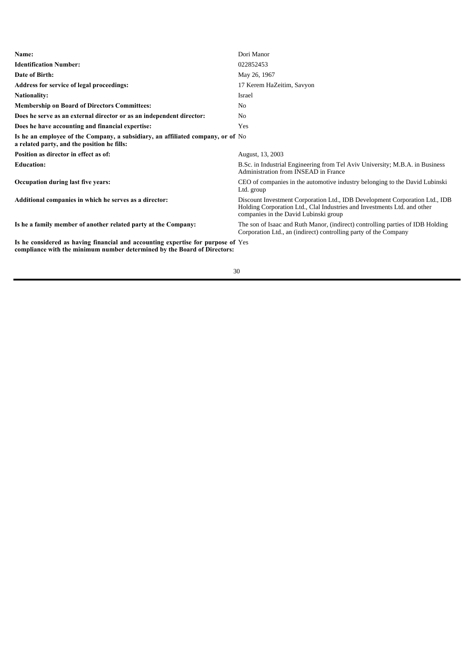| Name:                                                                                                                                                        | Dori Manor                                                                                                                                                                                       |
|--------------------------------------------------------------------------------------------------------------------------------------------------------------|--------------------------------------------------------------------------------------------------------------------------------------------------------------------------------------------------|
| <b>Identification Number:</b>                                                                                                                                | 022852453                                                                                                                                                                                        |
| Date of Birth:                                                                                                                                               | May 26, 1967                                                                                                                                                                                     |
| Address for service of legal proceedings:                                                                                                                    | 17 Kerem HaZeitim, Savyon                                                                                                                                                                        |
| <b>Nationality:</b>                                                                                                                                          | Israel                                                                                                                                                                                           |
| <b>Membership on Board of Directors Committees:</b>                                                                                                          | No                                                                                                                                                                                               |
| Does he serve as an external director or as an independent director:                                                                                         | N <sub>0</sub>                                                                                                                                                                                   |
| Does he have accounting and financial expertise:                                                                                                             | Yes                                                                                                                                                                                              |
| Is he an employee of the Company, a subsidiary, an affiliated company, or of No<br>a related party, and the position he fills:                               |                                                                                                                                                                                                  |
| Position as director in effect as of:                                                                                                                        | August, 13, 2003                                                                                                                                                                                 |
| <b>Education:</b>                                                                                                                                            | B.Sc. in Industrial Engineering from Tel Aviv University; M.B.A. in Business<br>Administration from INSEAD in France                                                                             |
| Occupation during last five years:                                                                                                                           | CEO of companies in the automotive industry belonging to the David Lubinski<br>Ltd. group                                                                                                        |
| Additional companies in which he serves as a director:                                                                                                       | Discount Investment Corporation Ltd., IDB Development Corporation Ltd., IDB<br>Holding Corporation Ltd., Clal Industries and Investments Ltd. and other<br>companies in the David Lubinski group |
| Is he a family member of another related party at the Company:                                                                                               | The son of Isaac and Ruth Manor, (indirect) controlling parties of IDB Holding<br>Corporation Ltd., an (indirect) controlling party of the Company                                               |
| Is he considered as having financial and accounting expertise for purpose of Yes<br>compliance with the minimum number determined by the Board of Directors: |                                                                                                                                                                                                  |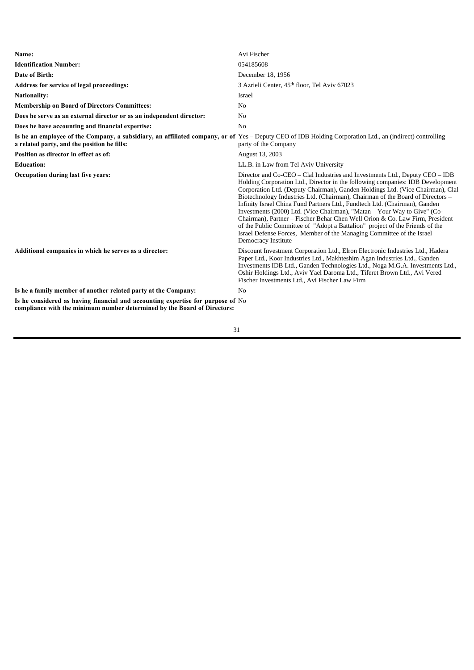| Name:                                                                                                                                                                                                   | Avi Fischer                                                                                                                                                                                                                                                                                                                                                                                                                                                                                                                                                                                                                                                                                                                                                  |
|---------------------------------------------------------------------------------------------------------------------------------------------------------------------------------------------------------|--------------------------------------------------------------------------------------------------------------------------------------------------------------------------------------------------------------------------------------------------------------------------------------------------------------------------------------------------------------------------------------------------------------------------------------------------------------------------------------------------------------------------------------------------------------------------------------------------------------------------------------------------------------------------------------------------------------------------------------------------------------|
| <b>Identification Number:</b>                                                                                                                                                                           | 054185608                                                                                                                                                                                                                                                                                                                                                                                                                                                                                                                                                                                                                                                                                                                                                    |
| Date of Birth:                                                                                                                                                                                          | December 18, 1956                                                                                                                                                                                                                                                                                                                                                                                                                                                                                                                                                                                                                                                                                                                                            |
| Address for service of legal proceedings:                                                                                                                                                               | 3 Azrieli Center, 45th floor, Tel Aviv 67023                                                                                                                                                                                                                                                                                                                                                                                                                                                                                                                                                                                                                                                                                                                 |
| <b>Nationality:</b>                                                                                                                                                                                     | Israel                                                                                                                                                                                                                                                                                                                                                                                                                                                                                                                                                                                                                                                                                                                                                       |
| <b>Membership on Board of Directors Committees:</b>                                                                                                                                                     | N <sub>0</sub>                                                                                                                                                                                                                                                                                                                                                                                                                                                                                                                                                                                                                                                                                                                                               |
| Does he serve as an external director or as an independent director:                                                                                                                                    | No                                                                                                                                                                                                                                                                                                                                                                                                                                                                                                                                                                                                                                                                                                                                                           |
| Does he have accounting and financial expertise:                                                                                                                                                        | N <sub>0</sub>                                                                                                                                                                                                                                                                                                                                                                                                                                                                                                                                                                                                                                                                                                                                               |
| Is he an employee of the Company, a subsidiary, an affiliated company, or of Yes – Deputy CEO of IDB Holding Corporation Ltd., an (indirect) controlling<br>a related party, and the position he fills: | party of the Company                                                                                                                                                                                                                                                                                                                                                                                                                                                                                                                                                                                                                                                                                                                                         |
| Position as director in effect as of:                                                                                                                                                                   | August 13, 2003                                                                                                                                                                                                                                                                                                                                                                                                                                                                                                                                                                                                                                                                                                                                              |
| <b>Education:</b>                                                                                                                                                                                       | LL.B. in Law from Tel Aviv University                                                                                                                                                                                                                                                                                                                                                                                                                                                                                                                                                                                                                                                                                                                        |
| Occupation during last five years:                                                                                                                                                                      | Director and Co-CEO – Clal Industries and Investments Ltd., Deputy CEO – IDB<br>Holding Corporation Ltd., Director in the following companies: IDB Development<br>Corporation Ltd. (Deputy Chairman), Ganden Holdings Ltd. (Vice Chairman), Clal<br>Biotechnology Industries Ltd. (Chairman), Chairman of the Board of Directors –<br>Infinity Israel China Fund Partners Ltd., Fundtech Ltd. (Chairman), Ganden<br>Investments (2000) Ltd. (Vice Chairman), "Matan – Your Way to Give" (Co-<br>Chairman), Partner – Fischer Behar Chen Well Orion & Co. Law Firm, President<br>of the Public Committee of "Adopt a Battalion" project of the Friends of the<br>Israel Defense Forces, Member of the Managing Committee of the Israel<br>Democracy Institute |
| Additional companies in which he serves as a director:                                                                                                                                                  | Discount Investment Corporation Ltd., Elron Electronic Industries Ltd., Hadera<br>Paper Ltd., Koor Industries Ltd., Makhteshim Agan Industries Ltd., Ganden<br>Investments IDB Ltd., Ganden Technologies Ltd., Noga M.G.A. Investments Ltd.,<br>Oshir Holdings Ltd., Aviv Yael Daroma Ltd., Tiferet Brown Ltd., Avi Vered<br>Fischer Investments Ltd., Avi Fischer Law Firm                                                                                                                                                                                                                                                                                                                                                                                  |
| Is he a family member of another related party at the Company:                                                                                                                                          | N <sub>0</sub>                                                                                                                                                                                                                                                                                                                                                                                                                                                                                                                                                                                                                                                                                                                                               |
| Is he considered as having financial and accounting expertise for purpose of No<br>compliance with the minimum number determined by the Board of Directors:                                             |                                                                                                                                                                                                                                                                                                                                                                                                                                                                                                                                                                                                                                                                                                                                                              |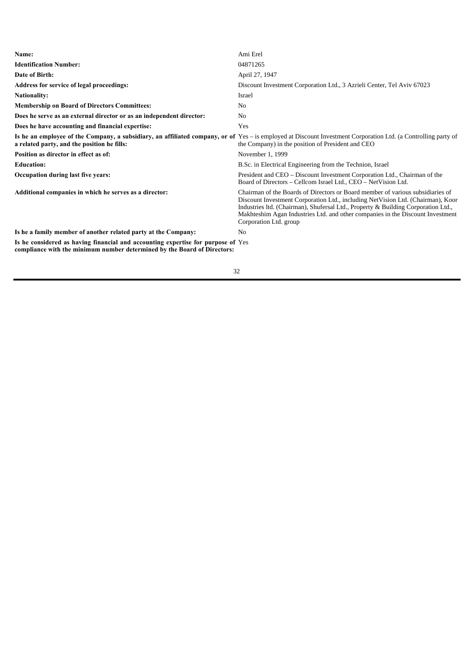| Name:                                                                                                                                                        | Ami Erel                                                                                                                                                                                                                                                                                                                                                           |
|--------------------------------------------------------------------------------------------------------------------------------------------------------------|--------------------------------------------------------------------------------------------------------------------------------------------------------------------------------------------------------------------------------------------------------------------------------------------------------------------------------------------------------------------|
| <b>Identification Number:</b>                                                                                                                                | 04871265                                                                                                                                                                                                                                                                                                                                                           |
| Date of Birth:                                                                                                                                               | April 27, 1947                                                                                                                                                                                                                                                                                                                                                     |
| Address for service of legal proceedings:                                                                                                                    | Discount Investment Corporation Ltd., 3 Azrieli Center, Tel Aviv 67023                                                                                                                                                                                                                                                                                             |
| <b>Nationality:</b>                                                                                                                                          | Israel                                                                                                                                                                                                                                                                                                                                                             |
| <b>Membership on Board of Directors Committees:</b>                                                                                                          | N <sub>0</sub>                                                                                                                                                                                                                                                                                                                                                     |
| Does he serve as an external director or as an independent director:                                                                                         | N <sub>0</sub>                                                                                                                                                                                                                                                                                                                                                     |
| Does he have accounting and financial expertise:                                                                                                             | Yes                                                                                                                                                                                                                                                                                                                                                                |
| a related party, and the position he fills:                                                                                                                  | Is he an employee of the Company, a subsidiary, an affiliated company, or of Yes – is employed at Discount Investment Corporation Ltd. (a Controlling party of<br>the Company) in the position of President and CEO                                                                                                                                                |
| Position as director in effect as of:                                                                                                                        | November 1, 1999                                                                                                                                                                                                                                                                                                                                                   |
| <b>Education:</b>                                                                                                                                            | B.Sc. in Electrical Engineering from the Technion, Israel                                                                                                                                                                                                                                                                                                          |
| Occupation during last five years:                                                                                                                           | President and CEO – Discount Investment Corporation Ltd., Chairman of the<br>Board of Directors – Cellcom Israel Ltd., CEO – NetVision Ltd.                                                                                                                                                                                                                        |
| Additional companies in which he serves as a director:                                                                                                       | Chairman of the Boards of Directors or Board member of various subsidiaries of<br>Discount Investment Corporation Ltd., including NetVision Ltd. (Chairman), Koor<br>Industries Itd. (Chairman), Shufersal Ltd., Property & Building Corporation Ltd.,<br>Makhteshim Agan Industries Ltd. and other companies in the Discount Investment<br>Corporation Ltd. group |
| Is he a family member of another related party at the Company:                                                                                               | N <sub>0</sub>                                                                                                                                                                                                                                                                                                                                                     |
| Is he considered as having financial and accounting expertise for purpose of Yes<br>compliance with the minimum number determined by the Board of Directors: |                                                                                                                                                                                                                                                                                                                                                                    |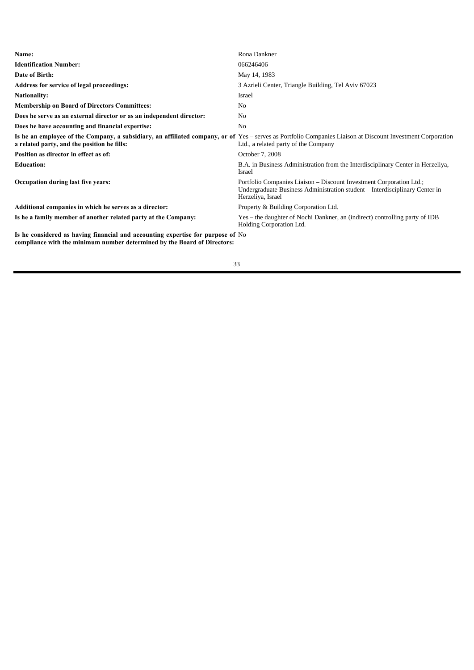| Name:                                                                                                                                                                                                      | Rona Dankner                                                                                                                                                            |
|------------------------------------------------------------------------------------------------------------------------------------------------------------------------------------------------------------|-------------------------------------------------------------------------------------------------------------------------------------------------------------------------|
| <b>Identification Number:</b>                                                                                                                                                                              | 066246406                                                                                                                                                               |
| Date of Birth:                                                                                                                                                                                             | May 14, 1983                                                                                                                                                            |
| Address for service of legal proceedings:                                                                                                                                                                  | 3 Azrieli Center, Triangle Building, Tel Aviv 67023                                                                                                                     |
| <b>Nationality:</b>                                                                                                                                                                                        | Israel                                                                                                                                                                  |
| <b>Membership on Board of Directors Committees:</b>                                                                                                                                                        | N <sub>0</sub>                                                                                                                                                          |
| Does he serve as an external director or as an independent director:                                                                                                                                       | N <sub>0</sub>                                                                                                                                                          |
| Does he have accounting and financial expertise:                                                                                                                                                           | No                                                                                                                                                                      |
| Is he an employee of the Company, a subsidiary, an affiliated company, or of Yes – serves as Portfolio Companies Liaison at Discount Investment Corporation<br>a related party, and the position he fills: | Ltd., a related party of the Company                                                                                                                                    |
| Position as director in effect as of:                                                                                                                                                                      | October 7, 2008                                                                                                                                                         |
| <b>Education:</b>                                                                                                                                                                                          | B.A. in Business Administration from the Interdisciplinary Center in Herzeliya,<br>Israel                                                                               |
| Occupation during last five years:                                                                                                                                                                         | Portfolio Companies Liaison – Discount Investment Corporation Ltd.;<br>Undergraduate Business Administration student – Interdisciplinary Center in<br>Herzeliya, Israel |
| Additional companies in which he serves as a director:                                                                                                                                                     | Property & Building Corporation Ltd.                                                                                                                                    |
| Is he a family member of another related party at the Company:                                                                                                                                             | Yes – the daughter of Nochi Dankner, an (indirect) controlling party of IDB<br>Holding Corporation Ltd.                                                                 |
| Is he considered as having financial and accounting expertise for purpose of No<br>compliance with the minimum number determined by the Board of Directors:                                                |                                                                                                                                                                         |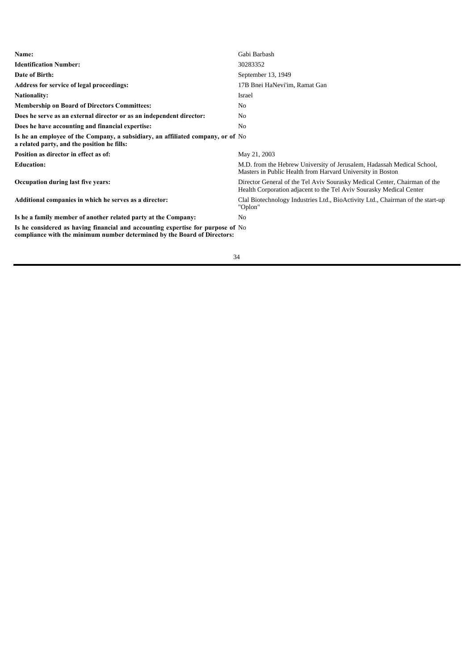| Name:                                                                                                                                                       | Gabi Barbash                                                                                                                                     |
|-------------------------------------------------------------------------------------------------------------------------------------------------------------|--------------------------------------------------------------------------------------------------------------------------------------------------|
| <b>Identification Number:</b>                                                                                                                               | 30283352                                                                                                                                         |
| Date of Birth:                                                                                                                                              | September 13, 1949                                                                                                                               |
| Address for service of legal proceedings:                                                                                                                   | 17B Bnei HaNevi'im, Ramat Gan                                                                                                                    |
| <b>Nationality:</b>                                                                                                                                         | Israel                                                                                                                                           |
| <b>Membership on Board of Directors Committees:</b>                                                                                                         | N <sub>0</sub>                                                                                                                                   |
| Does he serve as an external director or as an independent director:                                                                                        | N <sub>0</sub>                                                                                                                                   |
| Does he have accounting and financial expertise:                                                                                                            | N <sub>0</sub>                                                                                                                                   |
| Is he an employee of the Company, a subsidiary, an affiliated company, or of No<br>a related party, and the position he fills:                              |                                                                                                                                                  |
| Position as director in effect as of:                                                                                                                       | May 21, 2003                                                                                                                                     |
| <b>Education:</b>                                                                                                                                           | M.D. from the Hebrew University of Jerusalem, Hadassah Medical School,<br>Masters in Public Health from Harvard University in Boston             |
| Occupation during last five years:                                                                                                                          | Director General of the Tel Aviv Sourasky Medical Center, Chairman of the<br>Health Corporation adjacent to the Tel Aviv Sourasky Medical Center |
| Additional companies in which he serves as a director:                                                                                                      | Clal Biotechnology Industries Ltd., BioActivity Ltd., Chairman of the start-up<br>"Oplon"                                                        |
| Is he a family member of another related party at the Company:                                                                                              | N <sub>0</sub>                                                                                                                                   |
| Is he considered as having financial and accounting expertise for purpose of No<br>compliance with the minimum number determined by the Board of Directors: |                                                                                                                                                  |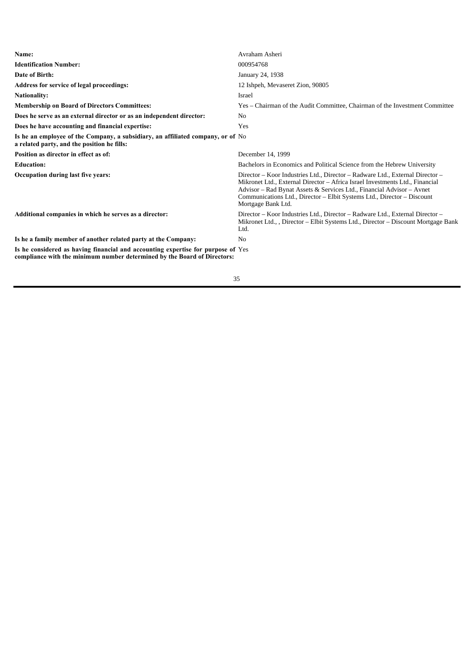| Name:                                                                                                                                                        | Avraham Asheri                                                                                                                                                                                                                                                                                                                          |
|--------------------------------------------------------------------------------------------------------------------------------------------------------------|-----------------------------------------------------------------------------------------------------------------------------------------------------------------------------------------------------------------------------------------------------------------------------------------------------------------------------------------|
| <b>Identification Number:</b>                                                                                                                                | 000954768                                                                                                                                                                                                                                                                                                                               |
| Date of Birth:                                                                                                                                               | January 24, 1938                                                                                                                                                                                                                                                                                                                        |
| Address for service of legal proceedings:                                                                                                                    | 12 Ishpeh, Mevaseret Zion, 90805                                                                                                                                                                                                                                                                                                        |
| <b>Nationality:</b>                                                                                                                                          | Israel                                                                                                                                                                                                                                                                                                                                  |
| <b>Membership on Board of Directors Committees:</b>                                                                                                          | Yes – Chairman of the Audit Committee, Chairman of the Investment Committee                                                                                                                                                                                                                                                             |
| Does he serve as an external director or as an independent director:                                                                                         | N <sub>0</sub>                                                                                                                                                                                                                                                                                                                          |
| Does he have accounting and financial expertise:                                                                                                             | Yes                                                                                                                                                                                                                                                                                                                                     |
| Is he an employee of the Company, a subsidiary, an affiliated company, or of No<br>a related party, and the position he fills:                               |                                                                                                                                                                                                                                                                                                                                         |
| Position as director in effect as of:                                                                                                                        | December 14, 1999                                                                                                                                                                                                                                                                                                                       |
| <b>Education:</b>                                                                                                                                            | Bachelors in Economics and Political Science from the Hebrew University                                                                                                                                                                                                                                                                 |
| Occupation during last five years:                                                                                                                           | Director – Koor Industries Ltd., Director – Radware Ltd., External Director –<br>Mikronet Ltd., External Director – Africa Israel Investments Ltd., Financial<br>Advisor – Rad Bynat Assets & Services Ltd., Financial Advisor – Avnet<br>Communications Ltd., Director – Elbit Systems Ltd., Director – Discount<br>Mortgage Bank Ltd. |
| Additional companies in which he serves as a director:                                                                                                       | Director – Koor Industries Ltd., Director – Radware Ltd., External Director –<br>Mikronet Ltd., Director – Elbit Systems Ltd., Director – Discount Mortgage Bank<br>Ltd.                                                                                                                                                                |
| Is he a family member of another related party at the Company:                                                                                               | N <sub>0</sub>                                                                                                                                                                                                                                                                                                                          |
| Is he considered as having financial and accounting expertise for purpose of Yes<br>compliance with the minimum number determined by the Board of Directors: |                                                                                                                                                                                                                                                                                                                                         |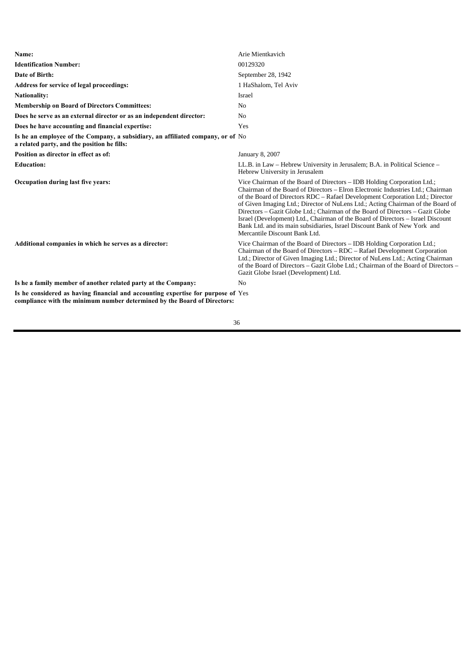| Name:                                                                                                                                                        | Arie Mientkavich                                                                                                                                                                                                                                                                                                                                                                                                                                                                                                                                                                                                  |
|--------------------------------------------------------------------------------------------------------------------------------------------------------------|-------------------------------------------------------------------------------------------------------------------------------------------------------------------------------------------------------------------------------------------------------------------------------------------------------------------------------------------------------------------------------------------------------------------------------------------------------------------------------------------------------------------------------------------------------------------------------------------------------------------|
| <b>Identification Number:</b>                                                                                                                                | 00129320                                                                                                                                                                                                                                                                                                                                                                                                                                                                                                                                                                                                          |
| Date of Birth:                                                                                                                                               | September 28, 1942                                                                                                                                                                                                                                                                                                                                                                                                                                                                                                                                                                                                |
| <b>Address for service of legal proceedings:</b>                                                                                                             | 1 HaShalom, Tel Aviv                                                                                                                                                                                                                                                                                                                                                                                                                                                                                                                                                                                              |
| <b>Nationality:</b>                                                                                                                                          | Israel                                                                                                                                                                                                                                                                                                                                                                                                                                                                                                                                                                                                            |
| <b>Membership on Board of Directors Committees:</b>                                                                                                          | N <sub>0</sub>                                                                                                                                                                                                                                                                                                                                                                                                                                                                                                                                                                                                    |
| Does he serve as an external director or as an independent director:                                                                                         | N <sub>0</sub>                                                                                                                                                                                                                                                                                                                                                                                                                                                                                                                                                                                                    |
| Does he have accounting and financial expertise:                                                                                                             | Yes                                                                                                                                                                                                                                                                                                                                                                                                                                                                                                                                                                                                               |
| Is he an employee of the Company, a subsidiary, an affiliated company, or of No<br>a related party, and the position he fills:                               |                                                                                                                                                                                                                                                                                                                                                                                                                                                                                                                                                                                                                   |
| Position as director in effect as of:                                                                                                                        | January 8, 2007                                                                                                                                                                                                                                                                                                                                                                                                                                                                                                                                                                                                   |
| <b>Education:</b>                                                                                                                                            | LL.B. in Law – Hebrew University in Jerusalem; B.A. in Political Science –<br>Hebrew University in Jerusalem                                                                                                                                                                                                                                                                                                                                                                                                                                                                                                      |
| Occupation during last five years:                                                                                                                           | Vice Chairman of the Board of Directors – IDB Holding Corporation Ltd.;<br>Chairman of the Board of Directors - Elron Electronic Industries Ltd.; Chairman<br>of the Board of Directors RDC – Rafael Development Corporation Ltd.; Director<br>of Given Imaging Ltd.; Director of NuLens Ltd.; Acting Chairman of the Board of<br>Directors – Gazit Globe Ltd.; Chairman of the Board of Directors – Gazit Globe<br>Israel (Development) Ltd., Chairman of the Board of Directors – Israel Discount<br>Bank Ltd. and its main subsidiaries, Israel Discount Bank of New York and<br>Mercantile Discount Bank Ltd. |
| Additional companies in which he serves as a director:                                                                                                       | Vice Chairman of the Board of Directors – IDB Holding Corporation Ltd.;<br>Chairman of the Board of Directors – RDC – Rafael Development Corporation<br>Ltd.; Director of Given Imaging Ltd.; Director of NuLens Ltd.; Acting Chairman<br>of the Board of Directors – Gazit Globe Ltd.; Chairman of the Board of Directors –<br>Gazit Globe Israel (Development) Ltd.                                                                                                                                                                                                                                             |
| Is he a family member of another related party at the Company:                                                                                               | N <sub>0</sub>                                                                                                                                                                                                                                                                                                                                                                                                                                                                                                                                                                                                    |
| Is he considered as having financial and accounting expertise for purpose of Yes<br>compliance with the minimum number determined by the Board of Directors: |                                                                                                                                                                                                                                                                                                                                                                                                                                                                                                                                                                                                                   |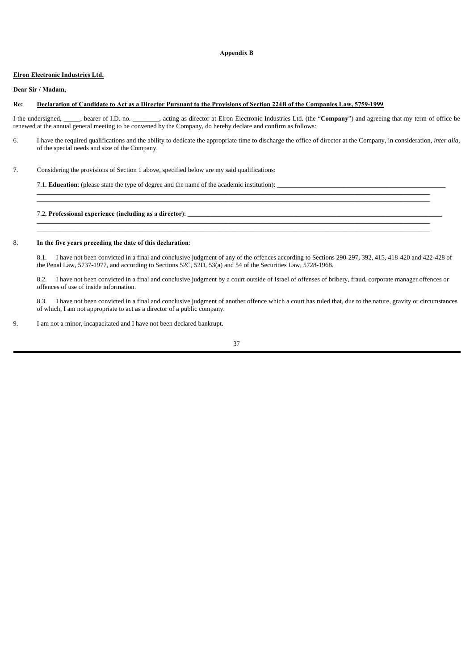#### **Appendix B**

#### **Elron Electronic Industries Ltd.**

**Dear Sir / Madam,**

# **Re: Declaration of Candidate to Act as a Director Pursuant to the Provisions of Section 224B of the Companies Law, 5759-1999**

I the undersigned, \_\_\_\_\_, bearer of I.D. no. \_\_\_\_\_\_\_\_, acting as director at Elron Electronic Industries Ltd. (the "**Company**") and agreeing that my term of office be renewed at the annual general meeting to be convened by the Company, do hereby declare and confirm as follows:

6. I have the required qualifications and the ability to dedicate the appropriate time to discharge the office of director at the Company, in consideration, *inter alia*, of the special needs and size of the Company.

\_\_\_\_\_\_\_\_\_\_\_\_\_\_\_\_\_\_\_\_\_\_\_\_\_\_\_\_\_\_\_\_\_\_\_\_\_\_\_\_\_\_\_\_\_\_\_\_\_\_\_\_\_\_\_\_\_\_\_\_\_\_\_\_\_\_\_\_\_\_\_\_\_\_\_\_\_\_\_\_\_\_\_\_\_\_\_\_\_\_\_\_\_\_\_\_\_\_\_\_\_\_\_\_\_\_\_\_\_\_\_\_\_\_\_\_\_\_\_ \_\_\_\_\_\_\_\_\_\_\_\_\_\_\_\_\_\_\_\_\_\_\_\_\_\_\_\_\_\_\_\_\_\_\_\_\_\_\_\_\_\_\_\_\_\_\_\_\_\_\_\_\_\_\_\_\_\_\_\_\_\_\_\_\_\_\_\_\_\_\_\_\_\_\_\_\_\_\_\_\_\_\_\_\_\_\_\_\_\_\_\_\_\_\_\_\_\_\_\_\_\_\_\_\_\_\_\_\_\_\_\_\_\_\_\_\_\_\_

\_\_\_\_\_\_\_\_\_\_\_\_\_\_\_\_\_\_\_\_\_\_\_\_\_\_\_\_\_\_\_\_\_\_\_\_\_\_\_\_\_\_\_\_\_\_\_\_\_\_\_\_\_\_\_\_\_\_\_\_\_\_\_\_\_\_\_\_\_\_\_\_\_\_\_\_\_\_\_\_\_\_\_\_\_\_\_\_\_\_\_\_\_\_\_\_\_\_\_\_\_\_\_\_\_\_\_\_\_\_\_\_\_\_\_\_\_\_\_ \_\_\_\_\_\_\_\_\_\_\_\_\_\_\_\_\_\_\_\_\_\_\_\_\_\_\_\_\_\_\_\_\_\_\_\_\_\_\_\_\_\_\_\_\_\_\_\_\_\_\_\_\_\_\_\_\_\_\_\_\_\_\_\_\_\_\_\_\_\_\_\_\_\_\_\_\_\_\_\_\_\_\_\_\_\_\_\_\_\_\_\_\_\_\_\_\_\_\_\_\_\_\_\_\_\_\_\_\_\_\_\_\_\_\_\_\_\_\_

#### $\overline{7}$ . 7. Considering the provisions of Section 1 above, specified below are my said qualifications:

7.1. **Education**: (please state the type of degree and the name of the academic institution):

# 7.2**. Professional experience (including as a director)**: \_\_\_\_\_\_\_\_\_\_\_\_\_\_\_\_\_\_\_\_\_\_\_\_\_\_\_\_\_\_\_\_\_\_\_\_\_\_\_\_\_\_\_\_\_\_\_\_\_\_\_\_\_\_\_\_\_\_\_\_\_\_\_\_\_\_\_\_\_\_\_\_\_\_\_\_\_

#### 8. **In the five years preceding the date of this declaration**:

8.1. I have not been convicted in a final and conclusive judgment of any of the offences according to Sections 290-297, 392, 415, 418-420 and 422-428 of the Penal Law, 5737-1977, and according to Sections 52C, 52D, 53(a) and 54 of the Securities Law, 5728-1968.

8.2. I have not been convicted in a final and conclusive judgment by a court outside of Israel of offenses of bribery, fraud, corporate manager offences or offences of use of inside information.

8.3. I have not been convicted in a final and conclusive judgment of another offence which a court has ruled that, due to the nature, gravity or circumstances of which, I am not appropriate to act as a director of a public company.

9. I am not a minor, incapacitated and I have not been declared bankrupt.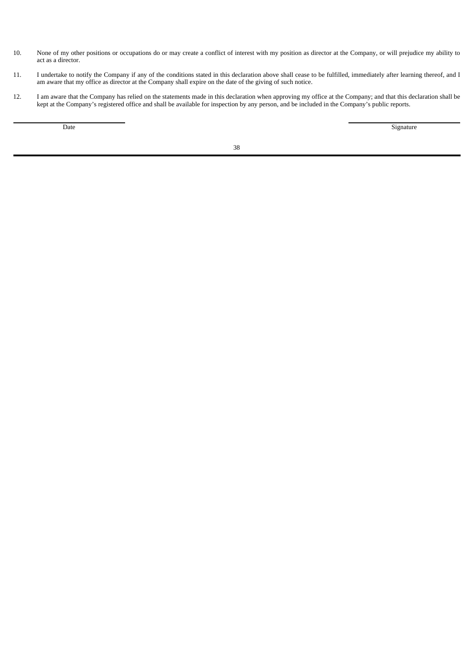- 10. None of my other positions or occupations do or may create a conflict of interest with my position as director at the Company, or will prejudice my ability to act as a director.
- $11.$ 11. I undertake to notify the Company if any of the conditions stated in this declaration above shall cease to be fulfilled, immediately after learning thereof, and I am aware that my office as director at the Company shall expire on the date of the giving of such notice.
- 12. I am aware that the Company has relied on the statements made in this declaration when approving my office at the Company; and that this declaration shall be kept at the Company's registered office and shall be available for inspection by any person, and be included in the Company's public reports.

Date Signature Signature Signature Signature Signature Signature Signature Signature Signature Signature Signature Signature Signature Signature Signature Signature Signature Signature Signature Signature Signature Signatu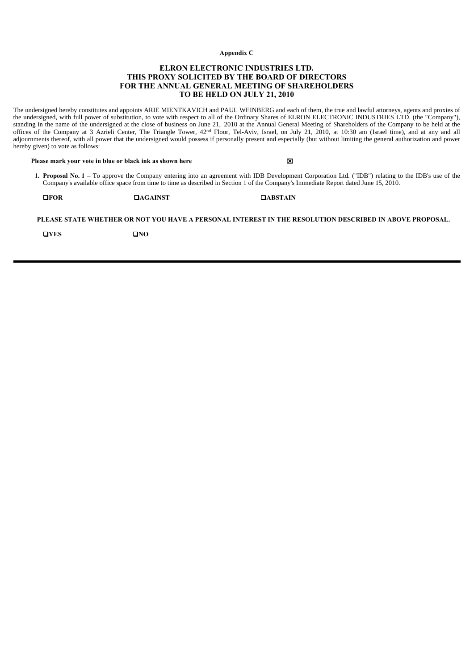**Appendix C**

# **ELRON ELECTRONIC INDUSTRIES LTD. THIS PROXY SOLICITED BY THE BOARD OF DIRECTORS FOR THE ANNUAL GENERAL MEETING OF SHAREHOLDERS TO BE HELD ON JULY 21, 2010**

The undersigned hereby constitutes and appoints ARIE MIENTKAVICH and PAUL WEINBERG and each of them, the true and lawful attorneys, agents and proxies of the undersigned, with full power of substitution, to vote with respect to all of the Ordinary Shares of ELRON ELECTRONIC INDUSTRIES LTD. (the "Company"), standing in the name of the undersigned at the close of business on June 21, 2010 at the Annual General Meeting of Shareholders of the Company to be held at the offices of the Company at 3 Azrieli Center, The Triangle Tower, 42nd Floor, Tel-Aviv, Israel, on July 21, 2010, at 10:30 am (Israel time), and at any and all adjournments thereof, with all power that the undersigned would possess if personally present and especially (but without limiting the general authorization and power hereby given) to vote as follows:

**Please mark your vote in blue or black ink as shown here** 

**1. Proposal No. 1 –** To approve the Company entering into an agreement with IDB Development Corporation Ltd. ("IDB") relating to the IDB's use of the Company's available office space from time to time as described in Section 1 of the Company's Immediate Report dated June 15, 2010.

**EXAMPLE AGAINST AGAINST ABSTAIN** 

**PLEASE STATE WHETHER OR NOT YOU HAVE A PERSONAL INTEREST IN THE RESOLUTION DESCRIBED IN ABOVE PROPOSAL.**

**NO NO**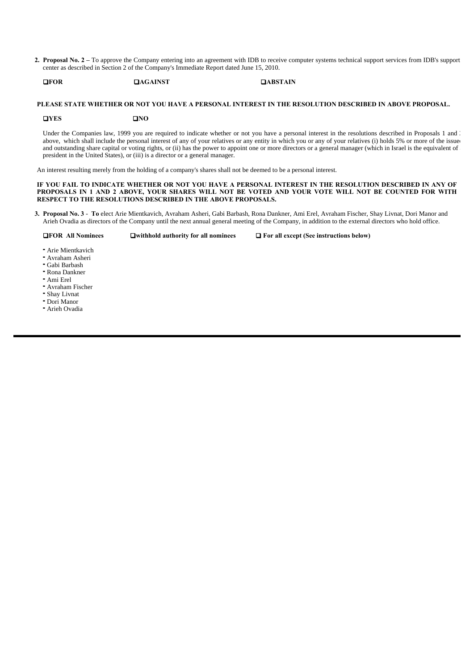**2. Proposal No. 2 –** To approve the Company entering into an agreement with IDB to receive computer systems technical support services from IDB's support center as described in Section 2 of the Company's Immediate Report dated June 15, 2010.

# **EXECUTE:** EXECUTE **CAGAINST EXECUTE: CABSTAIN**

# **PLEASE STATE WHETHER OR NOT YOU HAVE A PERSONAL INTEREST IN THE RESOLUTION DESCRIBED IN ABOVE PROPOSAL.**

#### **NO NO**

Under the Companies law, 1999 you are required to indicate whether or not you have a personal interest in the resolutions described in Proposals 1 and 2 above, which shall include the personal interest of any of your relatives or any entity in which you or any of your relatives (i) holds 5% or more of the issued and outstanding share capital or voting rights, or (ii) has the power to appoint one or more directors or a general manager (which in Israel is the equivalent of a president in the United States), or (iii) is a director or a general manager.

An interest resulting merely from the holding of a company's shares shall not be deemed to be a personal interest.

#### **IF YOU FAIL TO INDICATE WHETHER OR NOT YOU HAVE A PERSONAL INTEREST IN THE RESOLUTION DESCRIBED IN ANY OF PROPOSALS IN 1 AND 2 ABOVE, YOUR SHARES WILL NOT BE VOTED AND YOUR VOTE WILL NOT BE COUNTED FOR WITH RESPECT TO THE RESOLUTIONS DESCRIBED IN THE ABOVE PROPOSALS.**

**3. Proposal No. 3** - **To** elect Arie Mientkavich, Avraham Asheri, Gabi Barbash, Rona Dankner, Ami Erel, Avraham Fischer, Shay Livnat, Dori Manor and Arieh Ovadia as directors of the Company until the next annual general meeting of the Company, in addition to the external directors who hold office.

#### **EXECUTE:** FOR All Nominees **EXECUTE:**  $\Box$  **For all except (See instructions below)**

- **־** Arie Mientkavich
- **־** Avraham Asheri
- **־** Gabi Barbash
- **־** Rona Dankner
- **־** Ami Erel
- **־** Avraham Fischer
- **־** Shay Livnat
- **־** Dori Manor
- **־** Arieh Ovadia